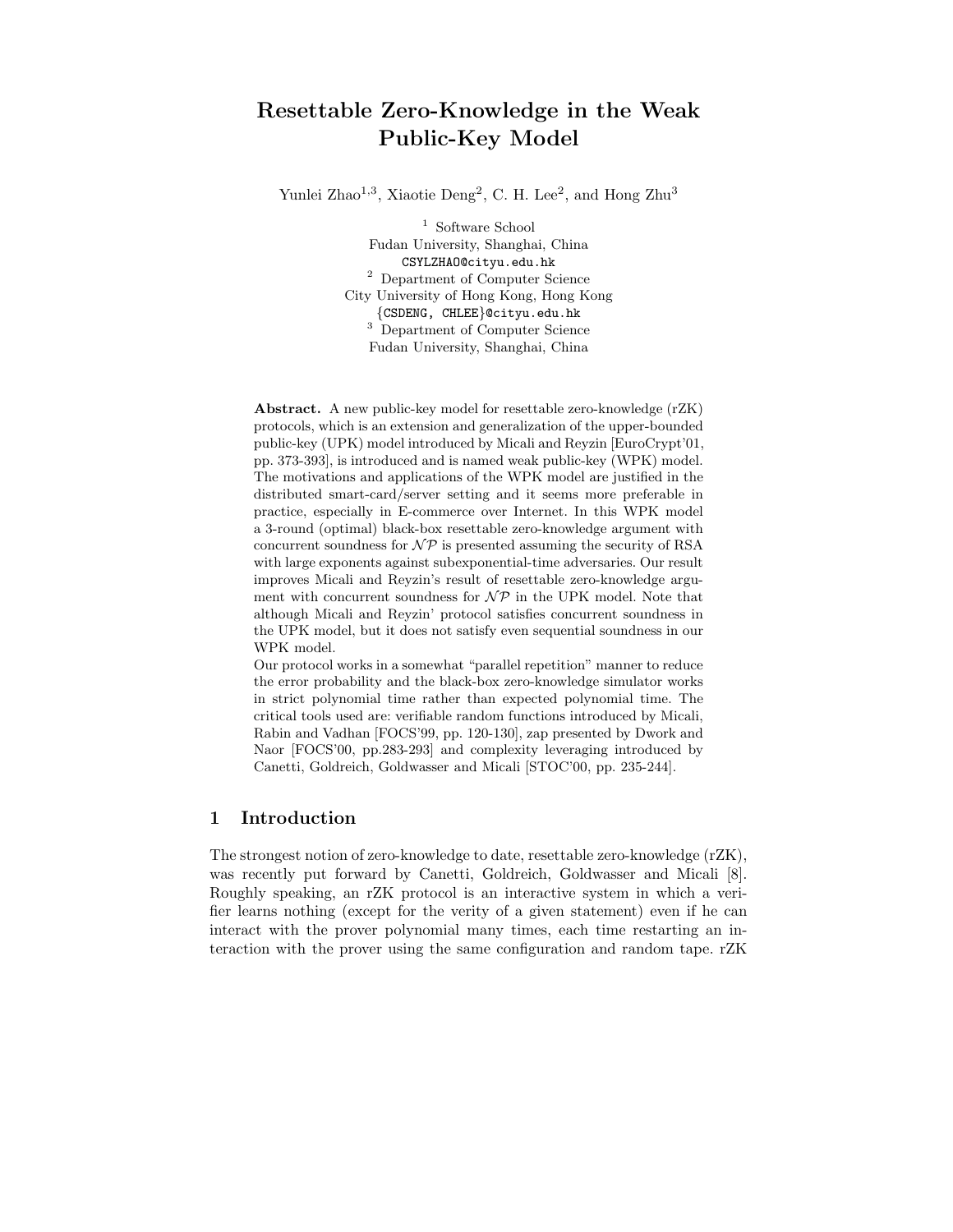# Resettable Zero-Knowledge in the Weak Public-Key Model

Yunlei Zhao<sup>1,3</sup>, Xiaotie Deng<sup>2</sup>, C. H. Lee<sup>2</sup>, and Hong Zhu<sup>3</sup>

<sup>1</sup> Software School Fudan University, Shanghai, China CSYLZHAO@cityu.edu.hk <sup>2</sup> Department of Computer Science City University of Hong Kong, Hong Kong {CSDENG, CHLEE}@cityu.edu.hk <sup>3</sup> Department of Computer Science Fudan University, Shanghai, China

Abstract. A new public-key model for resettable zero-knowledge (rZK) protocols, which is an extension and generalization of the upper-bounded public-key (UPK) model introduced by Micali and Reyzin [EuroCrypt'01, pp. 373-393], is introduced and is named weak public-key (WPK) model. The motivations and applications of the WPK model are justified in the distributed smart-card/server setting and it seems more preferable in practice, especially in E-commerce over Internet. In this WPK model a 3-round (optimal) black-box resettable zero-knowledge argument with concurrent soundness for  $\mathcal{NP}$  is presented assuming the security of RSA with large exponents against subexponential-time adversaries. Our result improves Micali and Reyzin's result of resettable zero-knowledge argument with concurrent soundness for  $\mathcal{NP}$  in the UPK model. Note that although Micali and Reyzin' protocol satisfies concurrent soundness in the UPK model, but it does not satisfy even sequential soundness in our WPK model.

Our protocol works in a somewhat "parallel repetition" manner to reduce the error probability and the black-box zero-knowledge simulator works in strict polynomial time rather than expected polynomial time. The critical tools used are: verifiable random functions introduced by Micali, Rabin and Vadhan [FOCS'99, pp. 120-130], zap presented by Dwork and Naor [FOCS'00, pp.283-293] and complexity leveraging introduced by Canetti, Goldreich, Goldwasser and Micali [STOC'00, pp. 235-244].

# 1 Introduction

The strongest notion of zero-knowledge to date, resettable zero-knowledge (rZK), was recently put forward by Canetti, Goldreich, Goldwasser and Micali [8]. Roughly speaking, an rZK protocol is an interactive system in which a verifier learns nothing (except for the verity of a given statement) even if he can interact with the prover polynomial many times, each time restarting an interaction with the prover using the same configuration and random tape. rZK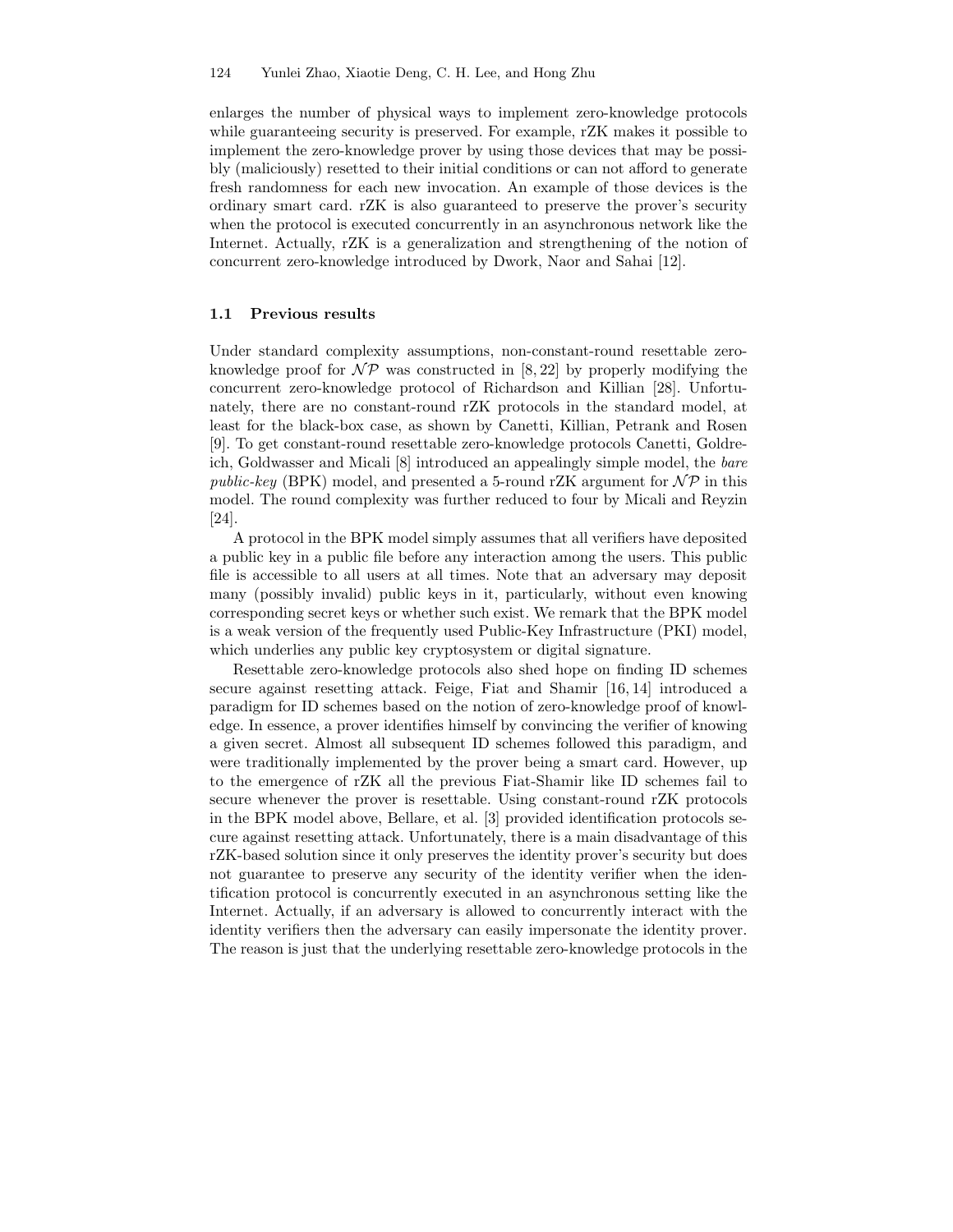enlarges the number of physical ways to implement zero-knowledge protocols while guaranteeing security is preserved. For example, rZK makes it possible to implement the zero-knowledge prover by using those devices that may be possibly (maliciously) resetted to their initial conditions or can not afford to generate fresh randomness for each new invocation. An example of those devices is the ordinary smart card. rZK is also guaranteed to preserve the prover's security when the protocol is executed concurrently in an asynchronous network like the Internet. Actually, rZK is a generalization and strengthening of the notion of concurrent zero-knowledge introduced by Dwork, Naor and Sahai [12].

#### 1.1 Previous results

Under standard complexity assumptions, non-constant-round resettable zeroknowledge proof for  $\mathcal{NP}$  was constructed in [8, 22] by properly modifying the concurrent zero-knowledge protocol of Richardson and Killian [28]. Unfortunately, there are no constant-round rZK protocols in the standard model, at least for the black-box case, as shown by Canetti, Killian, Petrank and Rosen [9]. To get constant-round resettable zero-knowledge protocols Canetti, Goldreich, Goldwasser and Micali [8] introduced an appealingly simple model, the bare public-key (BPK) model, and presented a 5-round rZK argument for  $\mathcal{NP}$  in this model. The round complexity was further reduced to four by Micali and Reyzin [24].

A protocol in the BPK model simply assumes that all verifiers have deposited a public key in a public file before any interaction among the users. This public file is accessible to all users at all times. Note that an adversary may deposit many (possibly invalid) public keys in it, particularly, without even knowing corresponding secret keys or whether such exist. We remark that the BPK model is a weak version of the frequently used Public-Key Infrastructure (PKI) model, which underlies any public key cryptosystem or digital signature.

Resettable zero-knowledge protocols also shed hope on finding ID schemes secure against resetting attack. Feige, Fiat and Shamir [16, 14] introduced a paradigm for ID schemes based on the notion of zero-knowledge proof of knowledge. In essence, a prover identifies himself by convincing the verifier of knowing a given secret. Almost all subsequent ID schemes followed this paradigm, and were traditionally implemented by the prover being a smart card. However, up to the emergence of rZK all the previous Fiat-Shamir like ID schemes fail to secure whenever the prover is resettable. Using constant-round rZK protocols in the BPK model above, Bellare, et al. [3] provided identification protocols secure against resetting attack. Unfortunately, there is a main disadvantage of this rZK-based solution since it only preserves the identity prover's security but does not guarantee to preserve any security of the identity verifier when the identification protocol is concurrently executed in an asynchronous setting like the Internet. Actually, if an adversary is allowed to concurrently interact with the identity verifiers then the adversary can easily impersonate the identity prover. The reason is just that the underlying resettable zero-knowledge protocols in the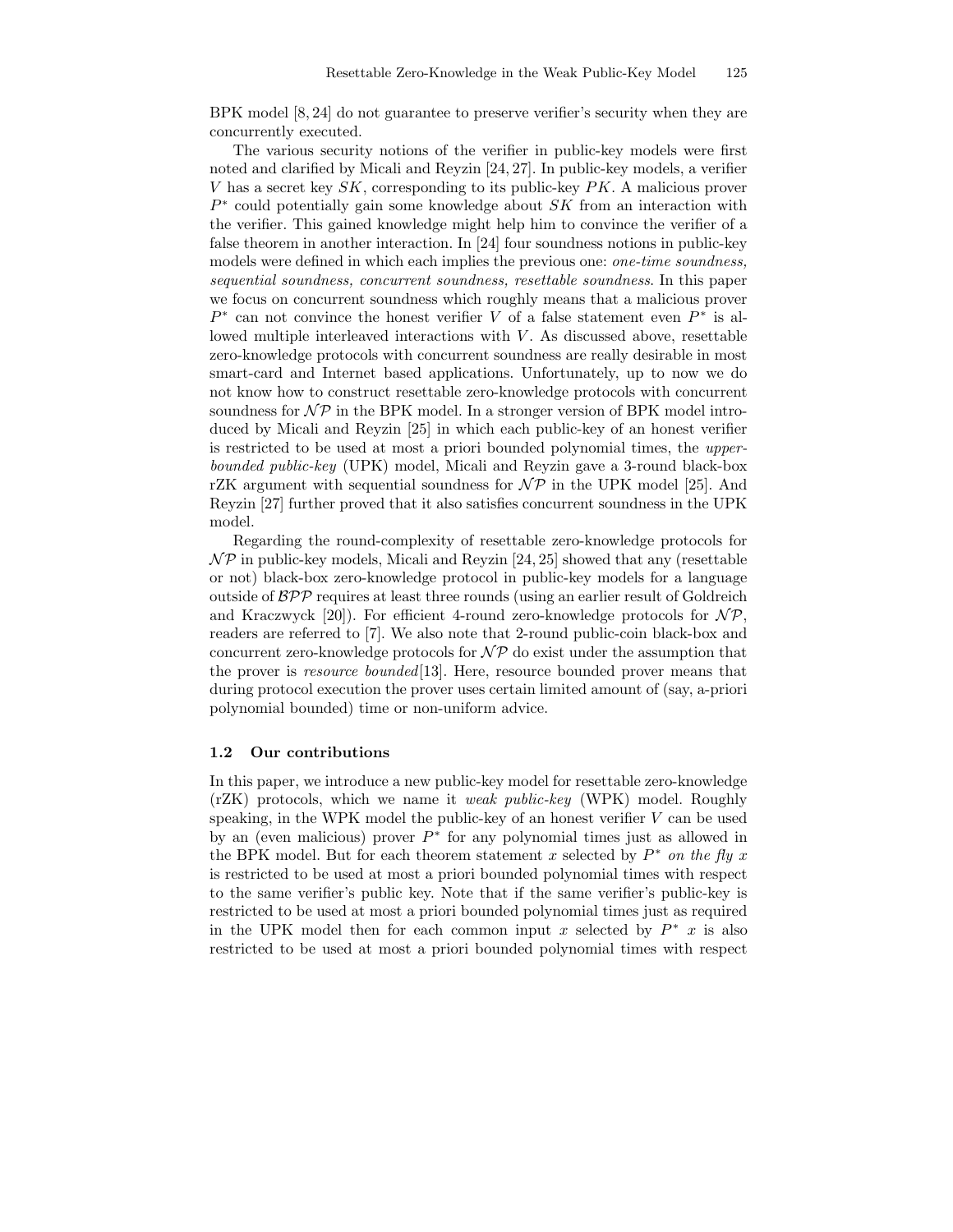BPK model [8, 24] do not guarantee to preserve verifier's security when they are concurrently executed.

The various security notions of the verifier in public-key models were first noted and clarified by Micali and Reyzin [24, 27]. In public-key models, a verifier V has a secret key  $SK$ , corresponding to its public-key  $PK$ . A malicious prover  $P^*$  could potentially gain some knowledge about  $SK$  from an interaction with the verifier. This gained knowledge might help him to convince the verifier of a false theorem in another interaction. In [24] four soundness notions in public-key models were defined in which each implies the previous one: *one-time soundness*, sequential soundness, concurrent soundness, resettable soundness. In this paper we focus on concurrent soundness which roughly means that a malicious prover  $P^*$  can not convince the honest verifier V of a false statement even  $P^*$  is allowed multiple interleaved interactions with  $V$ . As discussed above, resettable zero-knowledge protocols with concurrent soundness are really desirable in most smart-card and Internet based applications. Unfortunately, up to now we do not know how to construct resettable zero-knowledge protocols with concurrent soundness for  $\mathcal{NP}$  in the BPK model. In a stronger version of BPK model introduced by Micali and Reyzin [25] in which each public-key of an honest verifier is restricted to be used at most a priori bounded polynomial times, the upperbounded public-key (UPK) model, Micali and Reyzin gave a 3-round black-box rZK argument with sequential soundness for  $\mathcal{NP}$  in the UPK model [25]. And Reyzin [27] further proved that it also satisfies concurrent soundness in the UPK model.

Regarding the round-complexity of resettable zero-knowledge protocols for  $\mathcal{NP}$  in public-key models, Micali and Reyzin [24, 25] showed that any (resettable or not) black-box zero-knowledge protocol in public-key models for a language outside of BPP requires at least three rounds (using an earlier result of Goldreich and Kraczwyck [20]). For efficient 4-round zero-knowledge protocols for  $N\mathcal{P}$ , readers are referred to [7]. We also note that 2-round public-coin black-box and concurrent zero-knowledge protocols for  $\mathcal{NP}$  do exist under the assumption that the prover is *resource bounded* [13]. Here, resource bounded prover means that during protocol execution the prover uses certain limited amount of (say, a-priori polynomial bounded) time or non-uniform advice.

#### 1.2 Our contributions

In this paper, we introduce a new public-key model for resettable zero-knowledge (rZK) protocols, which we name it weak public-key (WPK) model. Roughly speaking, in the WPK model the public-key of an honest verifier  $V$  can be used by an (even malicious) prover  $P^*$  for any polynomial times just as allowed in the BPK model. But for each theorem statement x selected by  $P^*$  on the fly x is restricted to be used at most a priori bounded polynomial times with respect to the same verifier's public key. Note that if the same verifier's public-key is restricted to be used at most a priori bounded polynomial times just as required in the UPK model then for each common input x selected by  $P^*$  x is also restricted to be used at most a priori bounded polynomial times with respect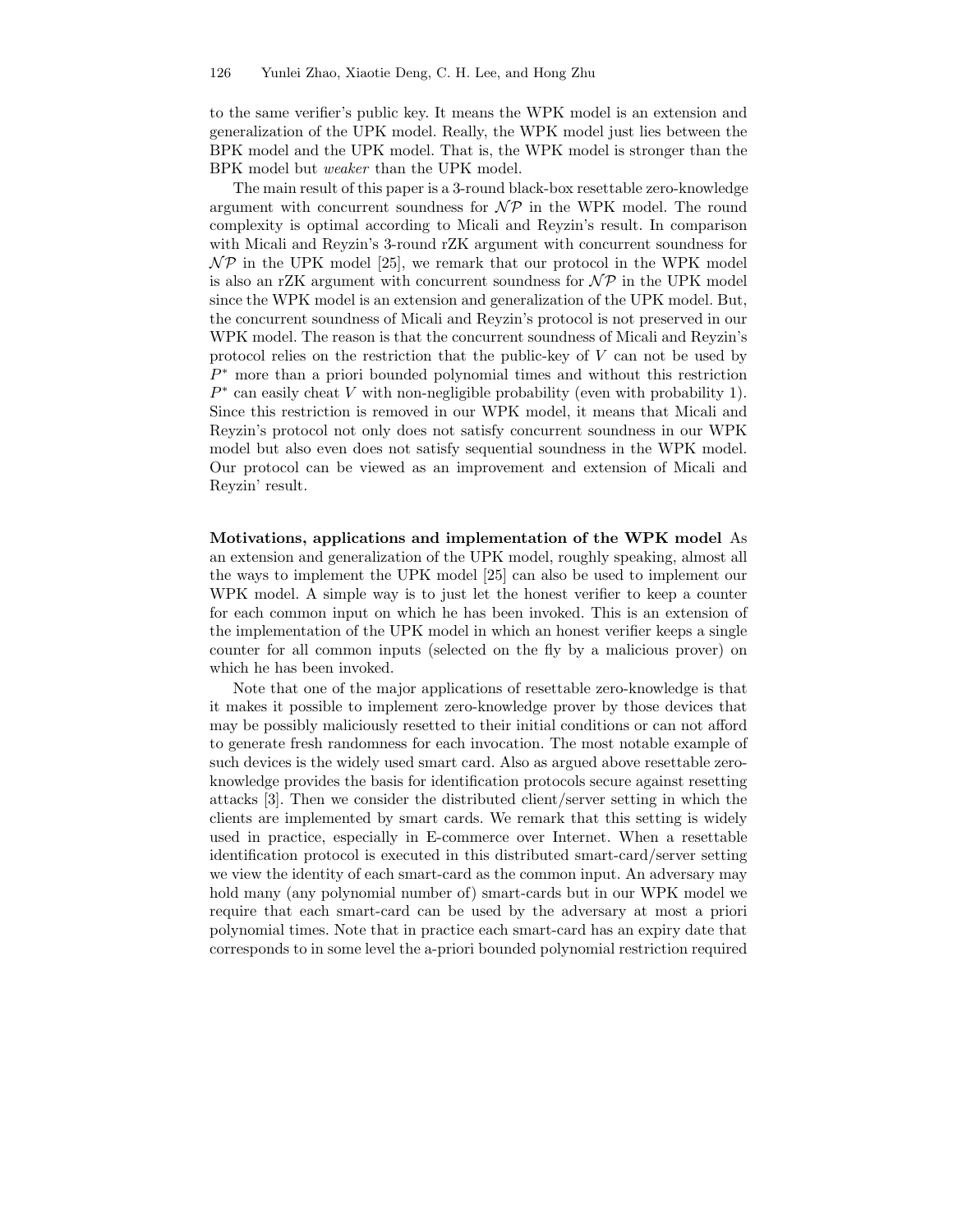to the same verifier's public key. It means the WPK model is an extension and generalization of the UPK model. Really, the WPK model just lies between the BPK model and the UPK model. That is, the WPK model is stronger than the BPK model but weaker than the UPK model.

The main result of this paper is a 3-round black-box resettable zero-knowledge argument with concurrent soundness for  $\mathcal{NP}$  in the WPK model. The round complexity is optimal according to Micali and Reyzin's result. In comparison with Micali and Reyzin's 3-round rZK argument with concurrent soundness for  $\mathcal{NP}$  in the UPK model [25], we remark that our protocol in the WPK model is also an rZK argument with concurrent soundness for  $\mathcal{NP}$  in the UPK model since the WPK model is an extension and generalization of the UPK model. But, the concurrent soundness of Micali and Reyzin's protocol is not preserved in our WPK model. The reason is that the concurrent soundness of Micali and Reyzin's protocol relies on the restriction that the public-key of  $V$  can not be used by P<sup>\*</sup> more than a priori bounded polynomial times and without this restriction  $P^*$  can easily cheat V with non-negligible probability (even with probability 1). Since this restriction is removed in our WPK model, it means that Micali and Reyzin's protocol not only does not satisfy concurrent soundness in our WPK model but also even does not satisfy sequential soundness in the WPK model. Our protocol can be viewed as an improvement and extension of Micali and Reyzin' result.

Motivations, applications and implementation of the WPK model As an extension and generalization of the UPK model, roughly speaking, almost all the ways to implement the UPK model [25] can also be used to implement our WPK model. A simple way is to just let the honest verifier to keep a counter for each common input on which he has been invoked. This is an extension of the implementation of the UPK model in which an honest verifier keeps a single counter for all common inputs (selected on the fly by a malicious prover) on which he has been invoked.

Note that one of the major applications of resettable zero-knowledge is that it makes it possible to implement zero-knowledge prover by those devices that may be possibly maliciously resetted to their initial conditions or can not afford to generate fresh randomness for each invocation. The most notable example of such devices is the widely used smart card. Also as argued above resettable zeroknowledge provides the basis for identification protocols secure against resetting attacks [3]. Then we consider the distributed client/server setting in which the clients are implemented by smart cards. We remark that this setting is widely used in practice, especially in E-commerce over Internet. When a resettable identification protocol is executed in this distributed smart-card/server setting we view the identity of each smart-card as the common input. An adversary may hold many (any polynomial number of) smart-cards but in our WPK model we require that each smart-card can be used by the adversary at most a priori polynomial times. Note that in practice each smart-card has an expiry date that corresponds to in some level the a-priori bounded polynomial restriction required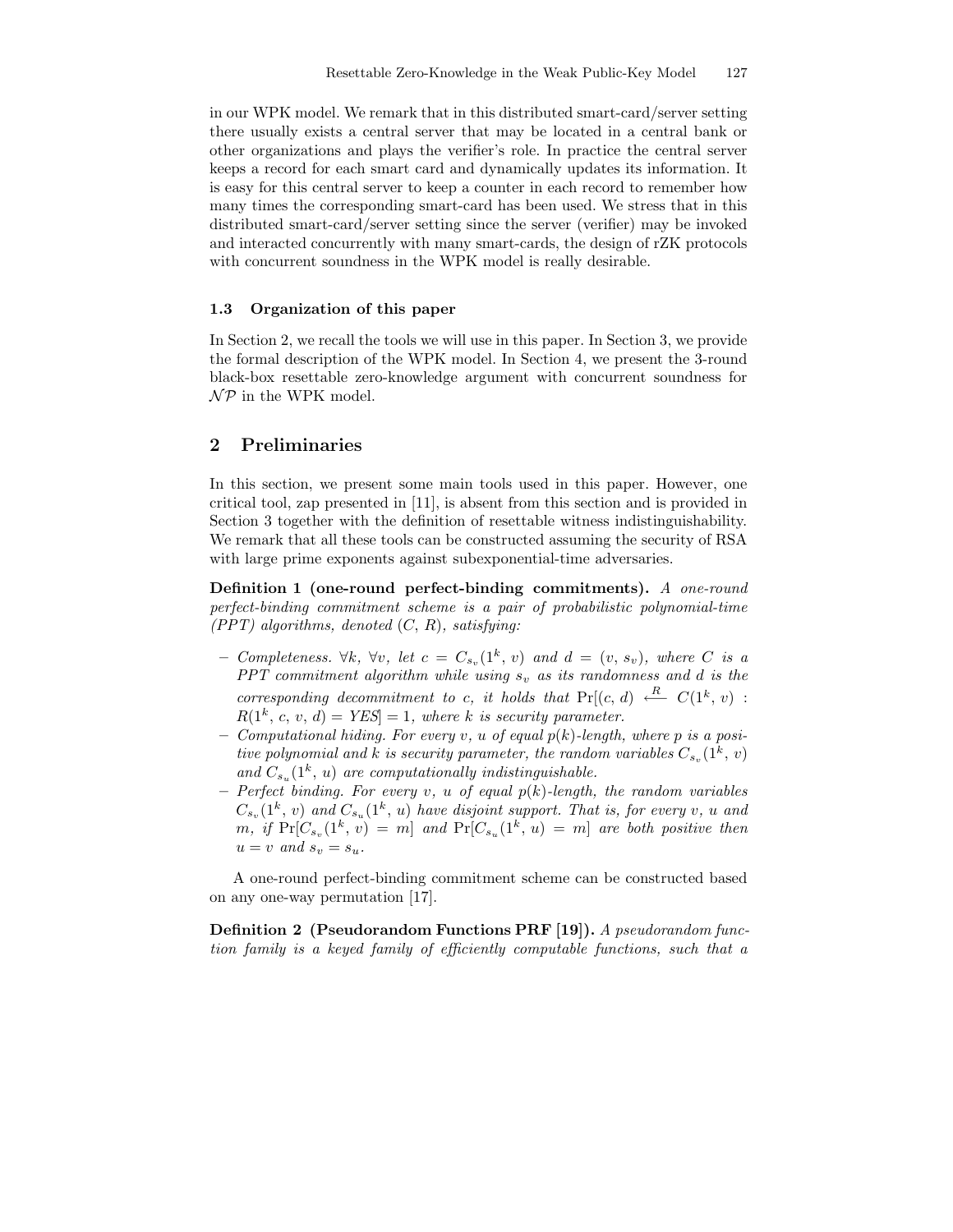in our WPK model. We remark that in this distributed smart-card/server setting there usually exists a central server that may be located in a central bank or other organizations and plays the verifier's role. In practice the central server keeps a record for each smart card and dynamically updates its information. It is easy for this central server to keep a counter in each record to remember how many times the corresponding smart-card has been used. We stress that in this distributed smart-card/server setting since the server (verifier) may be invoked and interacted concurrently with many smart-cards, the design of rZK protocols with concurrent soundness in the WPK model is really desirable.

### 1.3 Organization of this paper

In Section 2, we recall the tools we will use in this paper. In Section 3, we provide the formal description of the WPK model. In Section 4, we present the 3-round black-box resettable zero-knowledge argument with concurrent soundness for  $\mathcal{NP}$  in the WPK model.

# 2 Preliminaries

In this section, we present some main tools used in this paper. However, one critical tool, zap presented in [11], is absent from this section and is provided in Section 3 together with the definition of resettable witness indistinguishability. We remark that all these tools can be constructed assuming the security of RSA with large prime exponents against subexponential-time adversaries.

Definition 1 (one-round perfect-binding commitments). A one-round perfect-binding commitment scheme is a pair of probabilistic polynomial-time  $(PPT)$  algorithms, denoted  $(C, R)$ , satisfying:

- Completeness. ∀k, ∀v, let  $c = C_{s_v}(1^k, v)$  and  $d = (v, s_v)$ , where C is a PPT commitment algorithm while using  $s_v$  as its randomness and d is the corresponding decommitment to c, it holds that  $Pr[(c, d) \leftarrow R C(1^k, v)$ :  $R(1^k, c, v, d) = YES = 1$ , where k is security parameter.
- Computational hiding. For every  $v, u$  of equal  $p(k)$ -length, where p is a positive polynomial and k is security parameter, the random variables  $C_{s_v}(1^k, v)$ and  $C_{s_u}(1^k, u)$  are computationally indistinguishable.
- $-$  Perfect binding. For every v, u of equal  $p(k)$ -length, the random variables  $C_{s_v}(1^k, v)$  and  $C_{s_u}(1^k, u)$  have disjoint support. That is, for every v, u and  $m, \text{ if } Pr[C_{s_v}(1^k, v) = m] \text{ and } Pr[C_{s_u}(1^k, u) = m] \text{ are both positive then}$  $u = v$  and  $s_v = s_u$ .

A one-round perfect-binding commitment scheme can be constructed based on any one-way permutation [17].

Definition 2 (Pseudorandom Functions PRF [19]). A pseudorandom function family is a keyed family of efficiently computable functions, such that a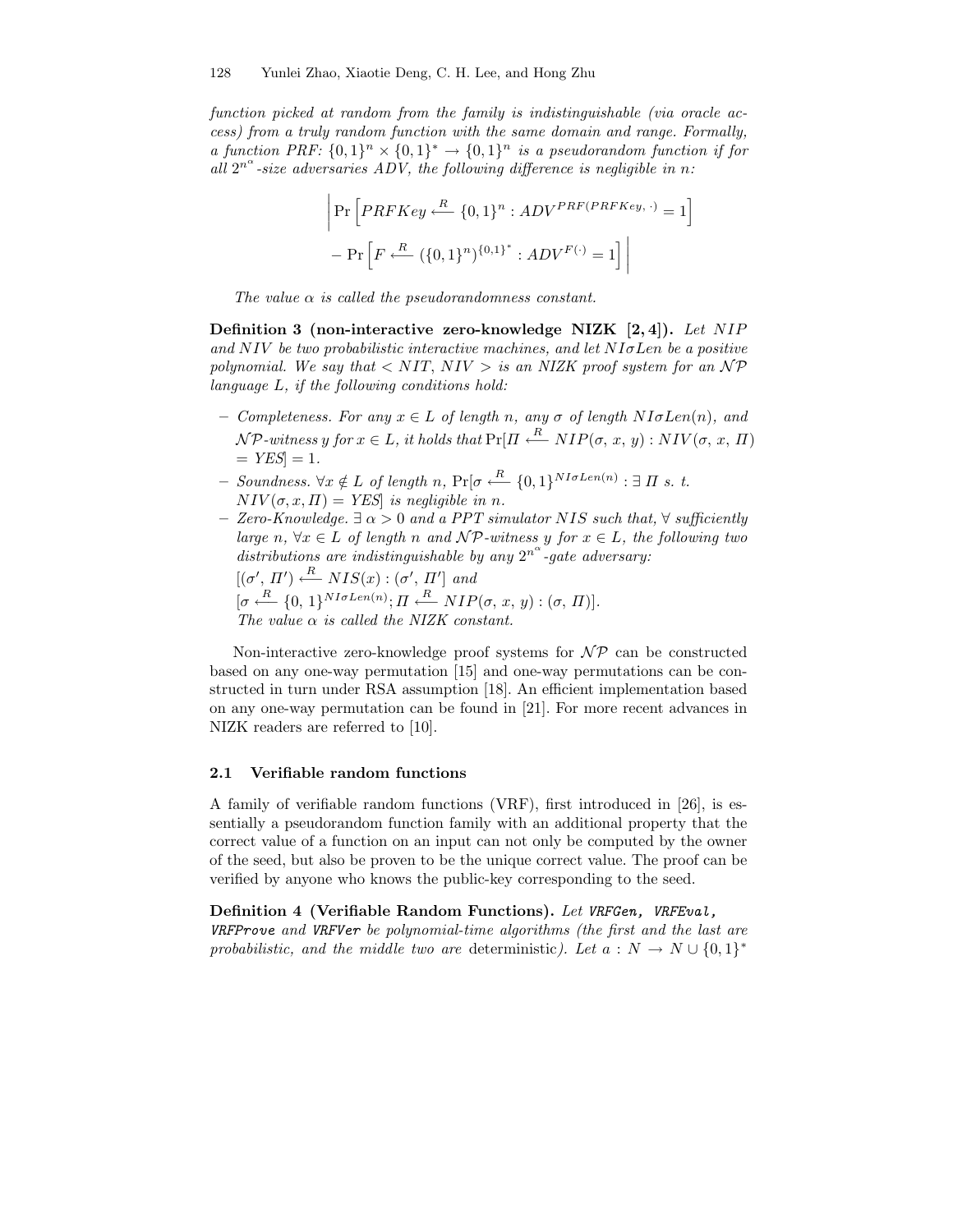function picked at random from the family is indistinguishable (via oracle access) from a truly random function with the same domain and range. Formally, a function PRF:  $\{0,1\}^n \times \{0,1\}^n \rightarrow \{0,1\}^n$  is a pseudorandom function if for all  $2^{n^{\alpha}}$ -size adversaries ADV, the following difference is negligible in n:

$$
\left| \Pr \left[ PRFKey \xleftarrow{R} \{0,1\}^n : ADV^{PRF(PRFKey, \cdot)} = 1 \right] \right|
$$
  
- 
$$
\left| \Pr \left[ F \xleftarrow{R} (\{0,1\}^n)^{\{0,1\}^*} : ADV^{F(\cdot)} = 1 \right] \right|
$$

The value  $\alpha$  is called the pseudorandomness constant.

Definition 3 (non-interactive zero-knowledge NIZK [2, 4]). Let NIP and NIV be two probabilistic interactive machines, and let  $NI\sigma Len$  be a positive polynomial. We say that  $\langle NIT, NIV \rangle$  is an NIZK proof system for an NP language L, if the following conditions hold:

- Completeness. For any  $x \in L$  of length n, any  $\sigma$  of length  $NI\sigma Len(n)$ , and  $\mathcal{NP}\text{-}witness~y~for~x \in L,~it~holds~that~\Pr[\varPi \stackrel{R}{\longleftarrow} NIP(\sigma,~x,~y): NIV(\sigma,~x,~\varPi)]$  $= YES = 1.$
- $-$  Soundness.  $\forall x \notin L$  of length n,  $\Pr[\sigma \stackrel{R}{\longleftarrow} \{0,1\}^{NIoLen(n)} : \exists \Pi \text{ s. t.}$  $NIV(\sigma, x, \Pi) = YES$  is negligible in n.
- Zero-Knowledge. ∃ α > 0 and a PPT simulator NIS such that, ∀ sufficiently large n,  $\forall x \in L$  of length n and  $\mathcal{NP}\text{-}w$  itness y for  $x \in L$ , the following two distributions are indistinguishable by any  $2^{n^{\alpha}}$ -gate adversary:  $[(\sigma', \Pi') \stackrel{R}{\longleftarrow} NIS(x) : (\sigma', \Pi']$  and  $[\sigma \stackrel{R}{\longleftarrow} \{0, 1\}^{NI\sigma Len(n)}; \Pi \stackrel{R}{\longleftarrow} NIP(\sigma, x, y) : (\sigma, \Pi)].$ The value  $\alpha$  is called the NIZK constant.

Non-interactive zero-knowledge proof systems for  $N\mathcal{P}$  can be constructed based on any one-way permutation [15] and one-way permutations can be constructed in turn under RSA assumption [18]. An efficient implementation based on any one-way permutation can be found in [21]. For more recent advances in NIZK readers are referred to [10].

#### 2.1 Verifiable random functions

A family of verifiable random functions (VRF), first introduced in [26], is essentially a pseudorandom function family with an additional property that the correct value of a function on an input can not only be computed by the owner of the seed, but also be proven to be the unique correct value. The proof can be verified by anyone who knows the public-key corresponding to the seed.

Definition 4 (Verifiable Random Functions). Let VRFGen, VRFEval, VRFProve and VRFVer be polynomial-time algorithms (the first and the last are probabilistic, and the middle two are deterministic). Let  $a: N \to N \cup \{0,1\}^*$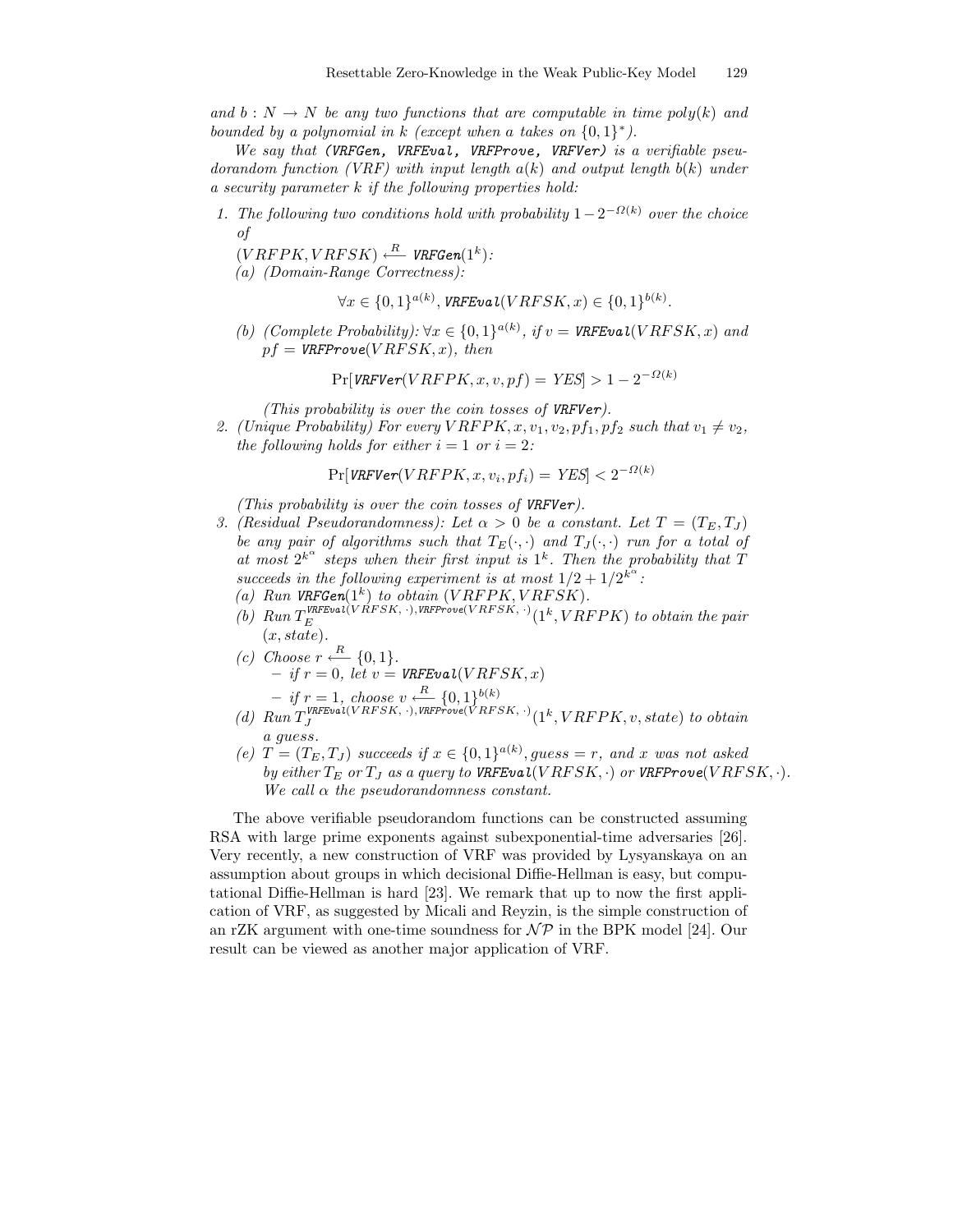and b :  $N \to N$  be any two functions that are computable in time poly(k) and bounded by a polynomial in k (except when a takes on  $\{0,1\}^*$ ).

We say that (VRFGen, VRFEval, VRFProve, VRFVer) is a verifiable pseudorandom function (VRF) with input length  $a(k)$  and output length  $b(k)$  under a security parameter  $k$  if the following properties hold:

1. The following two conditions hold with probability  $1-2^{-\Omega(k)}$  over the choice of

 $(VRFPK, VRFSK) \stackrel{R}{\longleftarrow}$  VRFGen(1<sup>k</sup>):

(a) (Domain-Range Correctness):

$$
\forall x \in \{0,1\}^{a(k)}, \text{VREFval}(VRFSK, x) \in \{0,1\}^{b(k)}.
$$

(b) (Complete Probability):  $\forall x \in \{0,1\}^{a(k)}$ , if  $v = \text{VRFEval}(VRFSK, x)$  and  $pf = VRFProve(VRFSK, x)$ , then

$$
Pr[VRFVer(VRFPK, x, v, pf) = YES] > 1 - 2^{-\Omega(k)}
$$

(This probability is over the coin tosses of VRFVer).

2. (Unique Probability) For every  $VRFPK, x, v_1, v_2, pf_1, pf_2$  such that  $v_1 \neq v_2$ , the following holds for either  $i = 1$  or  $i = 2$ :

$$
\Pr[\textit{VRFVer}(VRFPK, x, v_i, pf_i) = \textit{YES}] < 2^{-\Omega(k)}
$$

(This probability is over the coin tosses of  $VRFVer$ ).

- 3. (Residual Pseudorandomness): Let  $\alpha > 0$  be a constant. Let  $T = (T_E, T_J)$ be any pair of algorithms such that  $T_E(\cdot, \cdot)$  and  $T_J(\cdot, \cdot)$  run for a total of at most  $2^{k^{\alpha}}$  steps when their first input is  $1^k$ . Then the probability that  $T$ succeeds in the following experiment is at most  $1/2 + 1/2^{k^{\alpha}}$ :
	- (a) Run VRFGen $(1^k)$  to obtain  $(VRFPK, VRFSK)$ .
	- (b)  $Run T_E^{VRFEval(VRFSK, \cdot), VRF Prove(VRFSK, \cdot)}(1^k, VRFPK)$  to obtain the pair  $(x, state).$
	- (c) Choose  $r \stackrel{R}{\longleftarrow} \{0,1\}.$  $-$  if  $r = 0$ , let  $v = \text{VREF}\text{val}(VRFSK, x)$  $-$  if  $r = 1$ , choose  $v \stackrel{R}{\longleftarrow} \{0,1\}^{b(k)}$
	- (d)  $Run T_J^{VRFEval(VRFSK, \cdot), VRFProve(VRFSK, \cdot)}(1^k, VRFPK, v, state)$  to obtain a guess.
	- (e)  $T = (T_E, T_J)$  succeeds if  $x \in \{0, 1\}^{a(k)}$ , guess = r, and x was not asked by either  $T_E$  or  $T_J$  as a query to VRFEval(VRFSK, ·) or VRFProve(VRFSK, ·). We call  $\alpha$  the pseudorandomness constant.

The above verifiable pseudorandom functions can be constructed assuming RSA with large prime exponents against subexponential-time adversaries [26]. Very recently, a new construction of VRF was provided by Lysyanskaya on an assumption about groups in which decisional Diffie-Hellman is easy, but computational Diffie-Hellman is hard [23]. We remark that up to now the first application of VRF, as suggested by Micali and Reyzin, is the simple construction of an rZK argument with one-time soundness for  $\mathcal{NP}$  in the BPK model [24]. Our result can be viewed as another major application of VRF.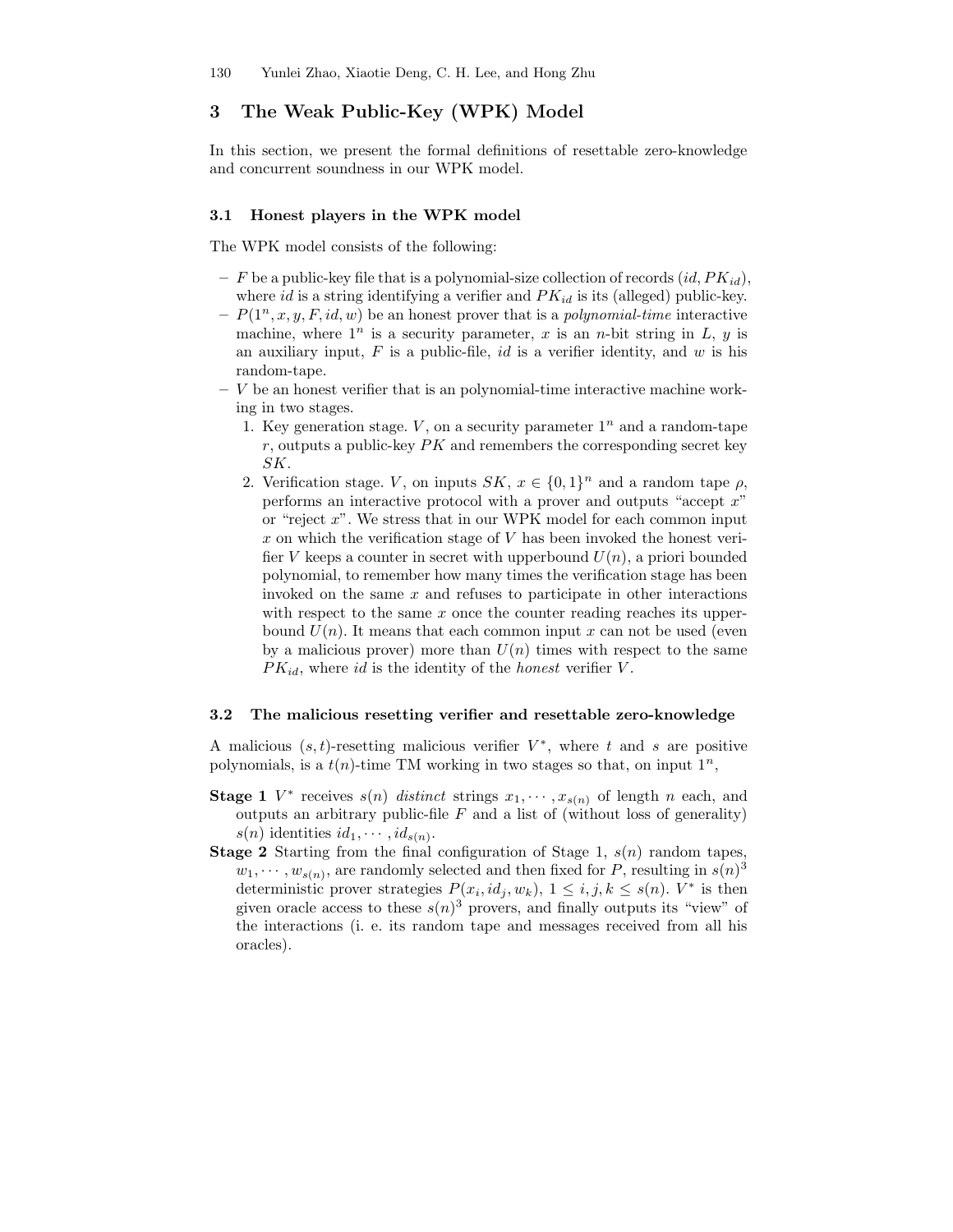# 3 The Weak Public-Key (WPK) Model

In this section, we present the formal definitions of resettable zero-knowledge and concurrent soundness in our WPK model.

#### 3.1 Honest players in the WPK model

The WPK model consists of the following:

- $F$  be a public-key file that is a polynomial-size collection of records  $(id, PK_{id}),$ where id is a string identifying a verifier and  $PK_{id}$  is its (alleged) public-key.
- $-P(1^n, x, y, F, id, w)$  be an honest prover that is a *polynomial-time* interactive machine, where  $1^n$  is a security parameter, x is an n-bit string in L, y is an auxiliary input,  $F$  is a public-file, *id* is a verifier identity, and  $w$  is his random-tape.
- $-$  V be an honest verifier that is an polynomial-time interactive machine working in two stages.
	- 1. Key generation stage.  $V$ , on a security parameter  $1<sup>n</sup>$  and a random-tape  $r$ , outputs a public-key  $PK$  and remembers the corresponding secret key SK.
	- 2. Verification stage. V, on inputs  $SK, x \in \{0,1\}^n$  and a random tape  $\rho$ , performs an interactive protocol with a prover and outputs "accept  $x$ " or "reject x". We stress that in our WPK model for each common input  $x$  on which the verification stage of  $V$  has been invoked the honest verifier V keeps a counter in secret with upperbound  $U(n)$ , a priori bounded polynomial, to remember how many times the verification stage has been invoked on the same  $x$  and refuses to participate in other interactions with respect to the same  $x$  once the counter reading reaches its upperbound  $U(n)$ . It means that each common input x can not be used (even by a malicious prover) more than  $U(n)$  times with respect to the same  $PK_{id}$ , where id is the identity of the *honest* verifier V.

#### 3.2 The malicious resetting verifier and resettable zero-knowledge

A malicious  $(s, t)$ -resetting malicious verifier  $V^*$ , where t and s are positive polynomials, is a  $t(n)$ -time TM working in two stages so that, on input  $1^n$ ,

- **Stage 1**  $V^*$  receives  $s(n)$  distinct strings  $x_1, \dots, x_{s(n)}$  of length n each, and outputs an arbitrary public-file  $F$  and a list of (without loss of generality)  $s(n)$  identities  $id_1, \cdots, id_{s(n)}$ .
- **Stage 2** Starting from the final configuration of Stage 1,  $s(n)$  random tapes,  $w_1, \dots, w_{s(n)}$ , are randomly selected and then fixed for P, resulting in  $s(n)^3$ deterministic prover strategies  $P(x_i, id_j, w_k)$ ,  $1 \leq i, j, k \leq s(n)$ .  $V^*$  is then given oracle access to these  $s(n)^3$  provers, and finally outputs its "view" of the interactions (i. e. its random tape and messages received from all his oracles).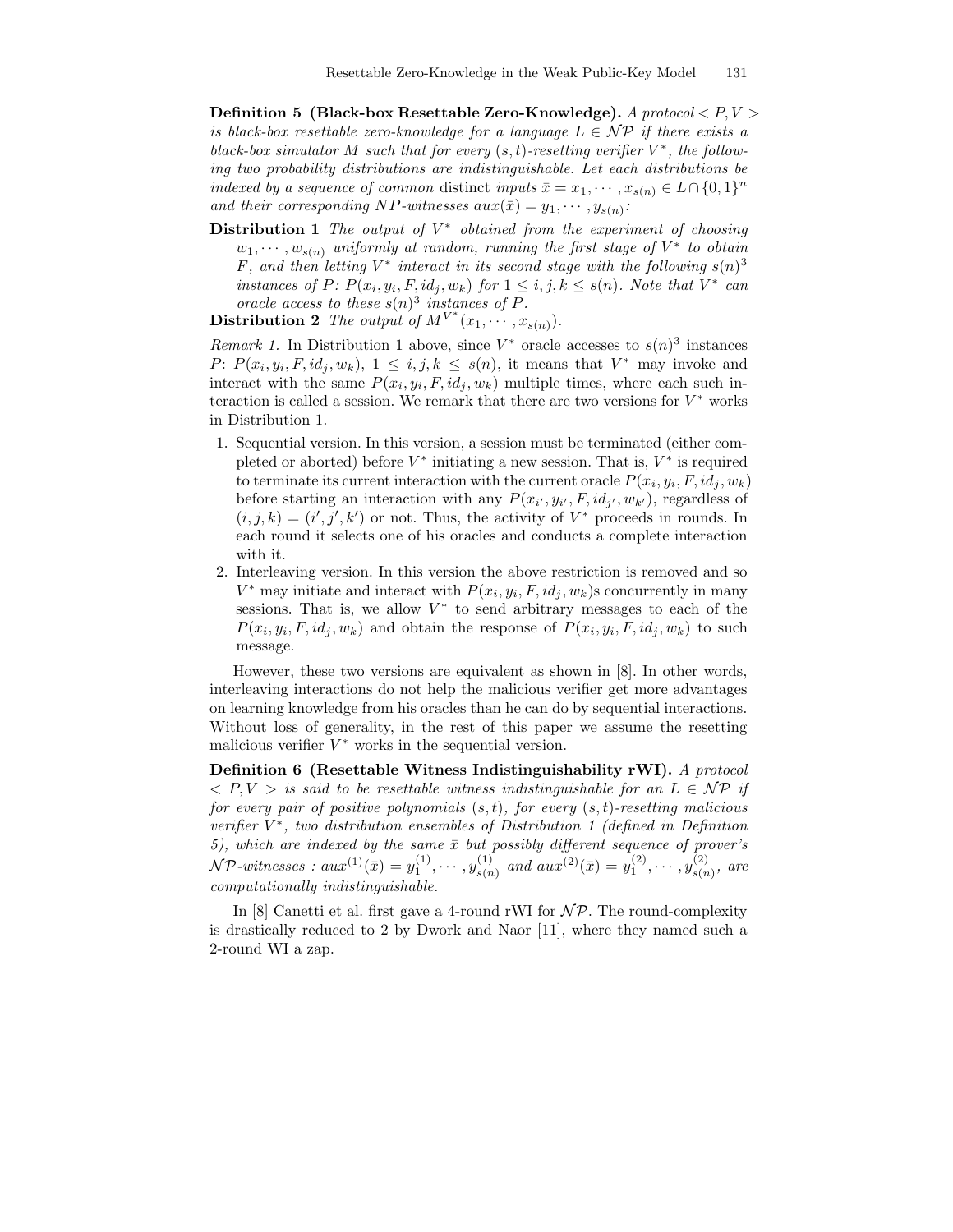Definition 5 (Black-box Resettable Zero-Knowledge). A protocol  $\langle P, V \rangle$ is black-box resettable zero-knowledge for a language  $L \in \mathcal{NP}$  if there exists a black-box simulator M such that for every  $(s,t)$ -resetting verifier  $V^*$ , the following two probability distributions are indistinguishable. Let each distributions be indexed by a sequence of common distinct inputs  $\bar{x} = x_1, \dots, x_{s(n)} \in L \cap \{0, 1\}^n$ and their corresponding NP-witnesses  $aux(\bar{x}) = y_1, \cdots, y_{s(n)}$ :

Distribution 1 The output of  $V^*$  obtained from the experiment of choosing  $w_1, \dots, w_{s(n)}$  uniformly at random, running the first stage of  $V^*$  to obtain F, and then letting  $V^*$  interact in its second stage with the following  $s(n)^3$ instances of  $P: P(x_i, y_i, F, id_j, w_k)$  for  $1 \leq i, j, k \leq s(n)$ . Note that  $V^*$  can oracle access to these  $s(n)^3$  instances of P.

**Distribution 2** The output of  $M^{V^*}(x_1, \dots, x_{s(n)})$ .

*Remark 1*. In Distribution 1 above, since  $V^*$  oracle accesses to  $s(n)^3$  instances P:  $P(x_i, y_i, F, id_j, w_k)$ ,  $1 \leq i, j, k \leq s(n)$ , it means that  $V^*$  may invoke and interact with the same  $P(x_i, y_i, F, id_j, w_k)$  multiple times, where each such interaction is called a session. We remark that there are two versions for  $V^*$  works in Distribution 1.

- 1. Sequential version. In this version, a session must be terminated (either completed or aborted) before  $V^*$  initiating a new session. That is,  $V^*$  is required to terminate its current interaction with the current oracle  $P(x_i, y_i, F, id_j, w_k)$ before starting an interaction with any  $P(x_{i'}, y_{i'}, F, id_{j'}, w_{k'})$ , regardless of  $(i, j, k) = (i', j', k')$  or not. Thus, the activity of  $V^*$  proceeds in rounds. In each round it selects one of his oracles and conducts a complete interaction with it.
- 2. Interleaving version. In this version the above restriction is removed and so  $V^*$  may initiate and interact with  $P(x_i, y_i, F, id_j, w_k)$ s concurrently in many sessions. That is, we allow  $V^*$  to send arbitrary messages to each of the  $P(x_i, y_i, F, id_j, w_k)$  and obtain the response of  $P(x_i, y_i, F, id_j, w_k)$  to such message.

However, these two versions are equivalent as shown in [8]. In other words, interleaving interactions do not help the malicious verifier get more advantages on learning knowledge from his oracles than he can do by sequential interactions. Without loss of generality, in the rest of this paper we assume the resetting malicious verifier  $V^*$  works in the sequential version.

Definition 6 (Resettable Witness Indistinguishability rWI). A protocol  $\langle P, V \rangle$  is said to be resettable witness indistinguishable for an  $L \in \mathcal{NP}$  if for every pair of positive polynomials  $(s,t)$ , for every  $(s,t)$ -resetting malicious verifier  $V^*$ , two distribution ensembles of Distribution 1 (defined in Definition 5), which are indexed by the same  $\bar{x}$  but possibly different sequence of prover's  $\mathcal{NP}\text{-}witnesses: aux^{(1)}(\bar{x})=y^{(1)}_1,\cdots,y^{(1)}_{s(n)}$  $s_{(n)}^{(1)}$  and  $aux^{(2)}(\bar{x}) = y_1^{(2)}, \cdots, y_{s(n)}^{(2)}$  $\binom{(2)}{s(n)}$ , are computationally indistinguishable.

In [8] Canetti et al. first gave a 4-round rWI for  $N\mathcal{P}$ . The round-complexity is drastically reduced to 2 by Dwork and Naor [11], where they named such a 2-round WI a zap.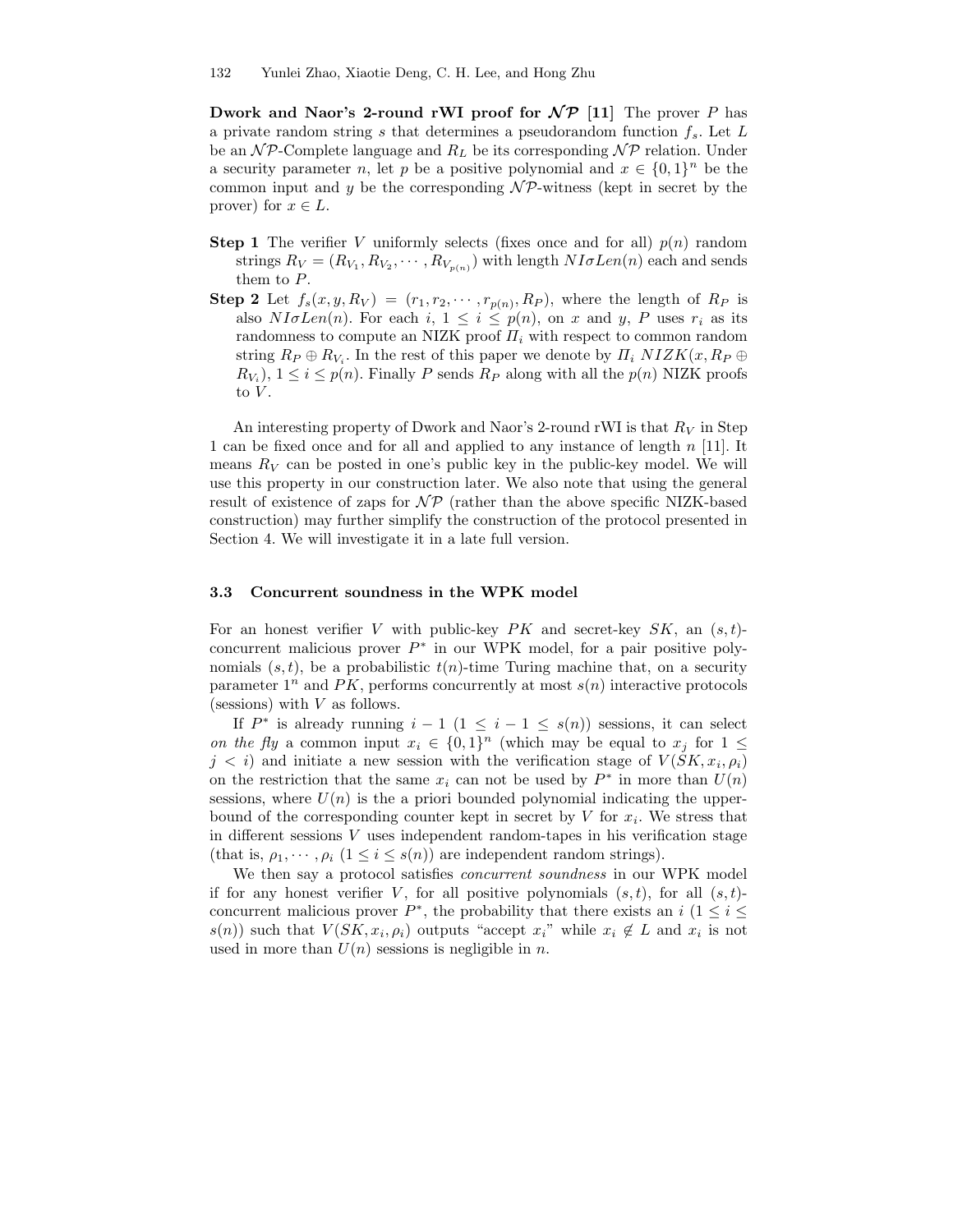Dwork and Naor's 2-round rWI proof for  $N\mathcal{P}$  [11] The prover P has a private random string s that determines a pseudorandom function  $f_s$ . Let L be an  $\mathcal{NP}$ -Complete language and  $R_L$  be its corresponding  $\mathcal{NP}$  relation. Under a security parameter *n*, let *p* be a positive polynomial and  $x \in \{0,1\}^n$  be the common input and y be the corresponding  $\mathcal{NP}$ -witness (kept in secret by the prover) for  $x \in L$ .

- **Step 1** The verifier V uniformly selects (fixes once and for all)  $p(n)$  random strings  $R_V = (R_{V_1}, R_{V_2}, \cdots, R_{V_{p(n)}})$  with length  $NIoLen(n)$  each and sends them to P.
- **Step 2** Let  $f_s(x, y, R_V) = (r_1, r_2, \dots, r_{p(n)}, R_P)$ , where the length of  $R_P$  is also  $N I \sigma Len(n)$ . For each i,  $1 \leq i \leq p(n)$ , on x and y, P uses  $r_i$  as its randomness to compute an NIZK proof  $\Pi_i$  with respect to common random string  $R_P \oplus R_{V_i}$ . In the rest of this paper we denote by  $\Pi_i$   $NIZK(x, R_P \oplus R_{V_i})$  $R_{V_i}$ ,  $1 \leq i \leq p(n)$ . Finally P sends  $R_P$  along with all the  $p(n)$  NIZK proofs to  $V$ .

An interesting property of Dwork and Naor's 2-round rWI is that  $R_V$  in Step 1 can be fixed once and for all and applied to any instance of length n [11]. It means  $R_V$  can be posted in one's public key in the public-key model. We will use this property in our construction later. We also note that using the general result of existence of zaps for  $\mathcal{NP}$  (rather than the above specific NIZK-based construction) may further simplify the construction of the protocol presented in Section 4. We will investigate it in a late full version.

#### 3.3 Concurrent soundness in the WPK model

For an honest verifier V with public-key  $PK$  and secret-key  $SK$ , an  $(s,t)$ concurrent malicious prover  $P^*$  in our WPK model, for a pair positive polynomials  $(s,t)$ , be a probabilistic  $t(n)$ -time Turing machine that, on a security parameter  $1^n$  and  $PK$ , performs concurrently at most  $s(n)$  interactive protocols (sessions) with V as follows.

If  $P^*$  is already running  $i-1$   $(1 \leq i-1 \leq s(n))$  sessions, it can select on the fly a common input  $x_i \in \{0,1\}^n$  (which may be equal to  $x_j$  for  $1 \leq$  $j < i$  and initiate a new session with the verification stage of  $V(SK, x_i, \rho_i)$ on the restriction that the same  $x_i$  can not be used by  $P^*$  in more than  $U(n)$ sessions, where  $U(n)$  is the a priori bounded polynomial indicating the upperbound of the corresponding counter kept in secret by  $V$  for  $x_i$ . We stress that in different sessions V uses independent random-tapes in his verification stage (that is,  $\rho_1, \dots, \rho_i$   $(1 \leq i \leq s(n))$  are independent random strings).

We then say a protocol satisfies *concurrent soundness* in our WPK model if for any honest verifier V, for all positive polynomials  $(s,t)$ , for all  $(s,t)$ concurrent malicious prover  $P^*$ , the probability that there exists an  $i$  ( $1 \leq i \leq$  $s(n)$ ) such that  $V(SK, x_i, \rho_i)$  outputs "accept  $x_i$ " while  $x_i \notin L$  and  $x_i$  is not used in more than  $U(n)$  sessions is negligible in n.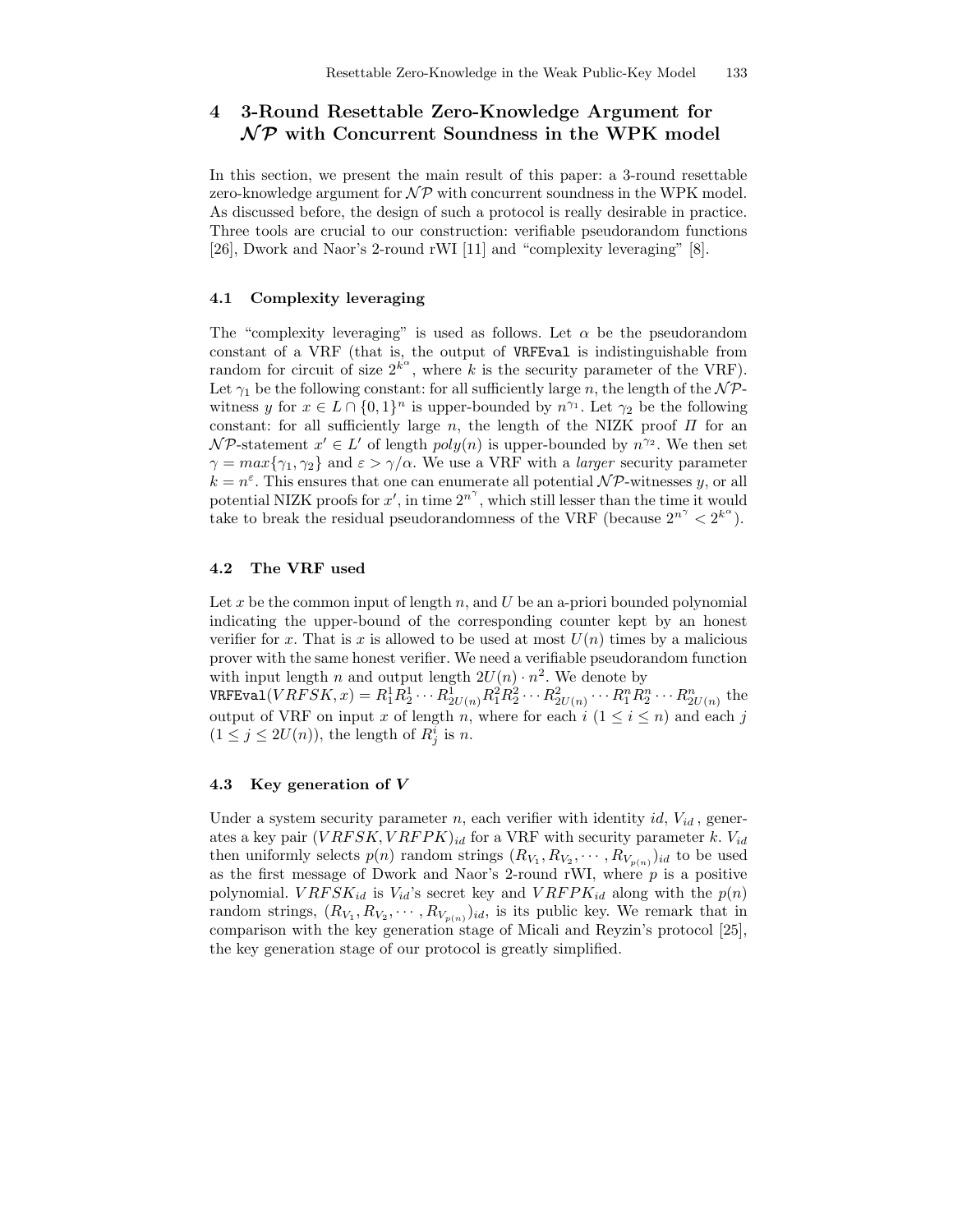# 4 3-Round Resettable Zero-Knowledge Argument for  $\mathcal{NP}$  with Concurrent Soundness in the WPK model

In this section, we present the main result of this paper: a 3-round resettable zero-knowledge argument for  $\mathcal{NP}$  with concurrent soundness in the WPK model. As discussed before, the design of such a protocol is really desirable in practice. Three tools are crucial to our construction: verifiable pseudorandom functions [26], Dwork and Naor's 2-round rWI [11] and "complexity leveraging" [8].

#### 4.1 Complexity leveraging

The "complexity leveraging" is used as follows. Let  $\alpha$  be the pseudorandom constant of a VRF (that is, the output of VRFEval is indistinguishable from random for circuit of size  $2^{k^{\alpha}}$ , where k is the security parameter of the VRF). Let  $\gamma_1$  be the following constant: for all sufficiently large n, the length of the  $\mathcal{NP}$ witness y for  $x \in L \cap \{0,1\}^n$  is upper-bounded by  $n^{\gamma_1}$ . Let  $\gamma_2$  be the following constant: for all sufficiently large n, the length of the NIZK proof  $\Pi$  for an  $\mathcal{NP}$ -statement  $x' \in L'$  of length  $poly(n)$  is upper-bounded by  $n^{\gamma_2}$ . We then set  $\gamma = max\{\gamma_1, \gamma_2\}$  and  $\varepsilon > \gamma/\alpha$ . We use a VRF with a *larger* security parameter  $k = n^{\varepsilon}$ . This ensures that one can enumerate all potential  $\mathcal{NP}$ -witnesses y, or all potential NIZK proofs for  $x'$ , in time  $2^{n^{\gamma}}$ , which still lesser than the time it would take to break the residual pseudorandomness of the VRF (because  $2^{n^{\gamma}} < 2^{k^{\alpha}}$ ).

#### 4.2 The VRF used

Let x be the common input of length n, and U be an a-priori bounded polynomial indicating the upper-bound of the corresponding counter kept by an honest verifier for x. That is x is allowed to be used at most  $U(n)$  times by a malicious prover with the same honest verifier. We need a verifiable pseudorandom function with input length n and output length  $2U(n) \cdot n^2$ . We denote by

 $\mathtt{VRFEval}(VRFSK, x) = R_1^1 R_2^1 \cdots R_{2U(n)}^1 R_1^2 R_2^2 \cdots R_{2U(n)}^2 \cdots R_1^n R_2^n \cdots R_{2U(n)}^n \text{ the }$ output of VRF on input x of length n, where for each i  $(1 \leq i \leq n)$  and each j  $(1 \leq j \leq 2U(n))$ , the length of  $R_j^i$  is n.

#### 4.3 Key generation of V

Under a system security parameter n, each verifier with identity  $id$ ,  $V_{id}$ , generates a key pair  $(VRFSK,VRFFK)_{id}$  for a VRF with security parameter k.  $V_{id}$ then uniformly selects  $p(n)$  random strings  $(R_{V_1}, R_{V_2}, \dots, R_{V_{p(n)}})_{id}$  to be used as the first message of Dwork and Naor's 2-round rWI, where  $p$  is a positive polynomial.  $VRFSK_{id}$  is  $V_{id}$ 's secret key and  $VRFPK_{id}$  along with the  $p(n)$ random strings,  $(R_{V_1}, R_{V_2}, \cdots, R_{V_{p(n)}})_{id}$ , is its public key. We remark that in comparison with the key generation stage of Micali and Reyzin's protocol [25], the key generation stage of our protocol is greatly simplified.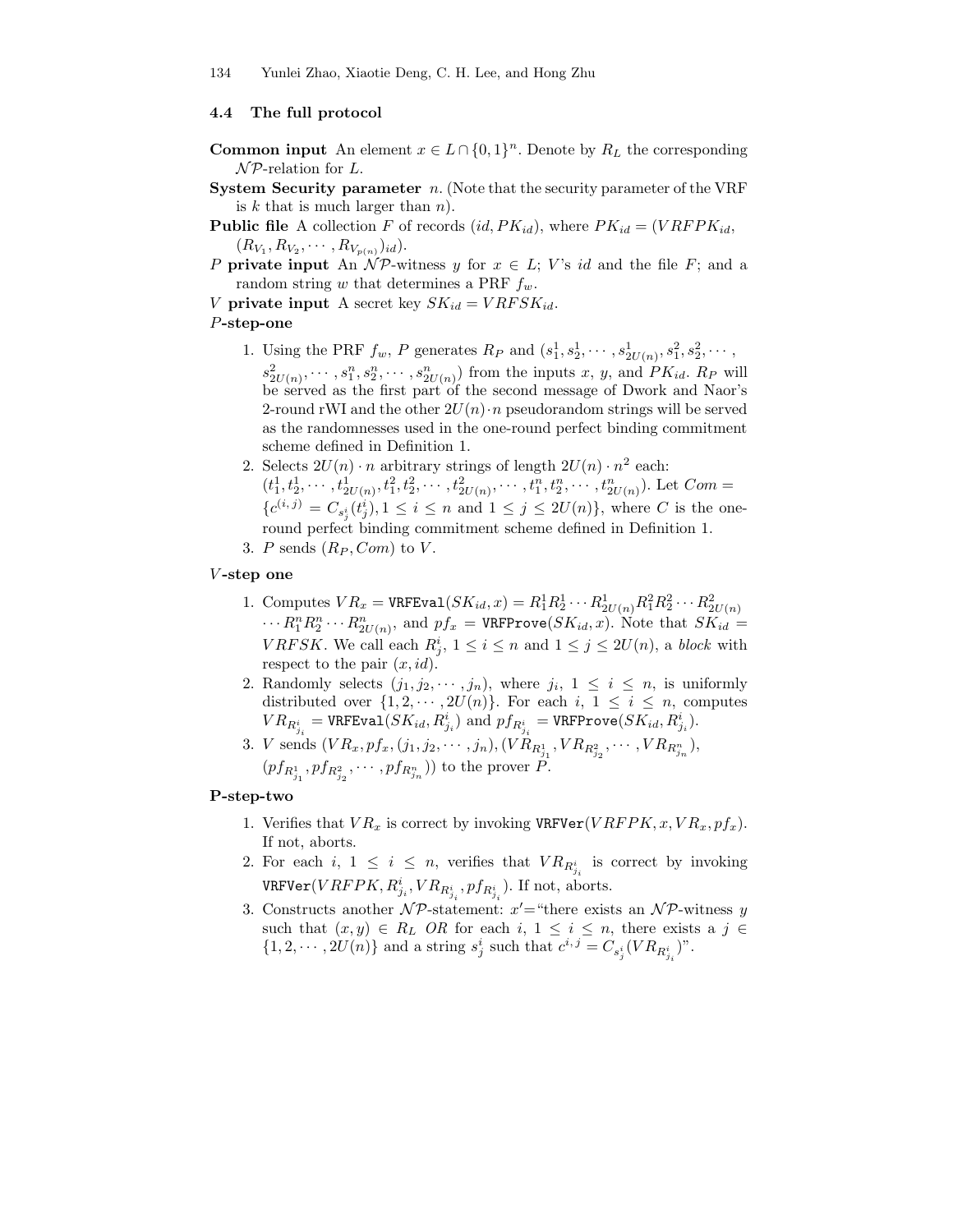### 4.4 The full protocol

- **Common input** An element  $x \in L \cap \{0,1\}^n$ . Denote by  $R_L$  the corresponding  $\mathcal N\mathcal P$ -relation for L.
- **System Security parameter**  $n$ . (Note that the security parameter of the VRF is  $k$  that is much larger than  $n$ ).
- **Public file** A collection F of records  $(id, PK_{id})$ , where  $PK_{id} = (VRFPK_{id},$  $(R_{V_1}, R_{V_2}, \cdots, R_{V_{p(n)}})_{id}).$
- P private input An  $\mathcal{NP}$ -witness y for  $x \in L$ ; V's id and the file F; and a random string w that determines a PRF  $f_w$ .
- V private input A secret key  $SK_{id} = VRFSK_{id}$ .

#### P-step-one

- 1. Using the PRF  $f_w$ , P generates  $R_P$  and  $(s_1^1, s_2^1, \dots, s_{2U(n)}^1, s_1^2, s_2^2, \dots, s_1^2, s_2^2, \dots, s_1^2, s_1^2, s_2^2, \dots, s_n^2, s_1^2, s_2^2, \dots, s_n^2, s_1^2, s_2^2, \dots, s_n^2, s_n^2, s_n^2, \dots, s_n^2$  $s_{2U(n)}^2, \cdots, s_1^n, s_2^n, \cdots, s_{2U(n)}^n$  from the inputs x, y, and  $PK_{id}$ .  $R_P$  will be served as the first part of the second message of Dwork and Naor's 2-round rWI and the other  $2U(n) \cdot n$  pseudorandom strings will be served as the randomnesses used in the one-round perfect binding commitment scheme defined in Definition 1.
- 2. Selects  $2U(n) \cdot n$  arbitrary strings of length  $2U(n) \cdot n^2$  each:  $(t_1^1, t_2^1, \dots, t_{2U(n)}^1, t_1^2, t_2^2, \dots, t_{2U(n)}^2, \dots, t_1^n, t_2^n, \dots, t_{2U(n)}^n)$ . Let  $Com =$  ${c}^{(i,j)} = C_{s_j^i}(t_j^i), 1 \le i \le n$  and  $1 \le j \le 2U(n)$ , where C is the oneround perfect binding commitment scheme defined in Definition 1.
- 3. P sends  $(R_P, Com)$  to V.

### V -step one

- 1. Computes  $VR_x = \text{VRFEval}(SK_{id}, x) = R_1^1 R_2^1 \cdots R_{2U(n)}^1 R_1^2 R_2^2 \cdots R_{2U(n)}^2$  $\cdots R_1^n R_2^n \cdots R_{2U(n)}^n$ , and  $pf_x$  = VRFProve $(SK_{id}, x)$ . Note that  $SK_{id}$  = *VRFSK*. We call each  $R_j^i$ ,  $1 \leq i \leq n$  and  $1 \leq j \leq 2U(n)$ , a block with respect to the pair  $(x,id)$ .
- 2. Randomly selects  $(j_1, j_2, \dots, j_n)$ , where  $j_i$ ,  $1 \leq i \leq n$ , is uniformly distributed over  $\{1, 2, \dots, 2U(n)\}\$ . For each  $i, 1 \leq i \leq n$ , computes  $VR_{R^i_{j_i}} = \mathtt{VRFEval}(SK_{id}, R^i_{j_i}) \text{ and } pf_{R^i_{j_i}} = \mathtt{VRFProc}({SK_{id}}, R^i_{j_i}).$
- 3. *V* sends  $(VR_x, pf_x, (j_1, j_2, \dots, j_n), (VR_{R_{j_1}}^1, VR_{R_{j_2}}^2, \dots, VR_{R_{j_n}}^n)$  $(pf_{R_{j_1}^1}, pf_{R_{j_2}^2}, \cdots, pf_{R_{j_n}^n})$  to the prover P.

### P-step-two

- 1. Verifies that  $VR_x$  is correct by invoking  $VRFVer(VRFPK, x, VR_x, pf_x)$ . If not, aborts.
- 2. For each  $i, 1 \leq i \leq n$ , verifies that  $VR_{R_{j_i}}$  is correct by invoking  $\texttt{VRFVer}(VRFPK, R^i_{j_i}, VR_{R^i_{j_i}}, pf_{R^i_{j_i}}).$  If not, aborts.
- 3. Constructs another  $\mathcal{NP}$ -statement:  $x'$  = "there exists an  $\mathcal{NP}$ -witness y such that  $(x, y) \in R_L$  OR for each  $i, 1 \leq i \leq n$ , there exists a  $j \in$  $\{1, 2, \cdots, 2U(n)\}\$  and a string  $s_j^i$  such that  $c^{i, j} = C_{s_j^i}(VR_{R_{j_i}^i})$ ".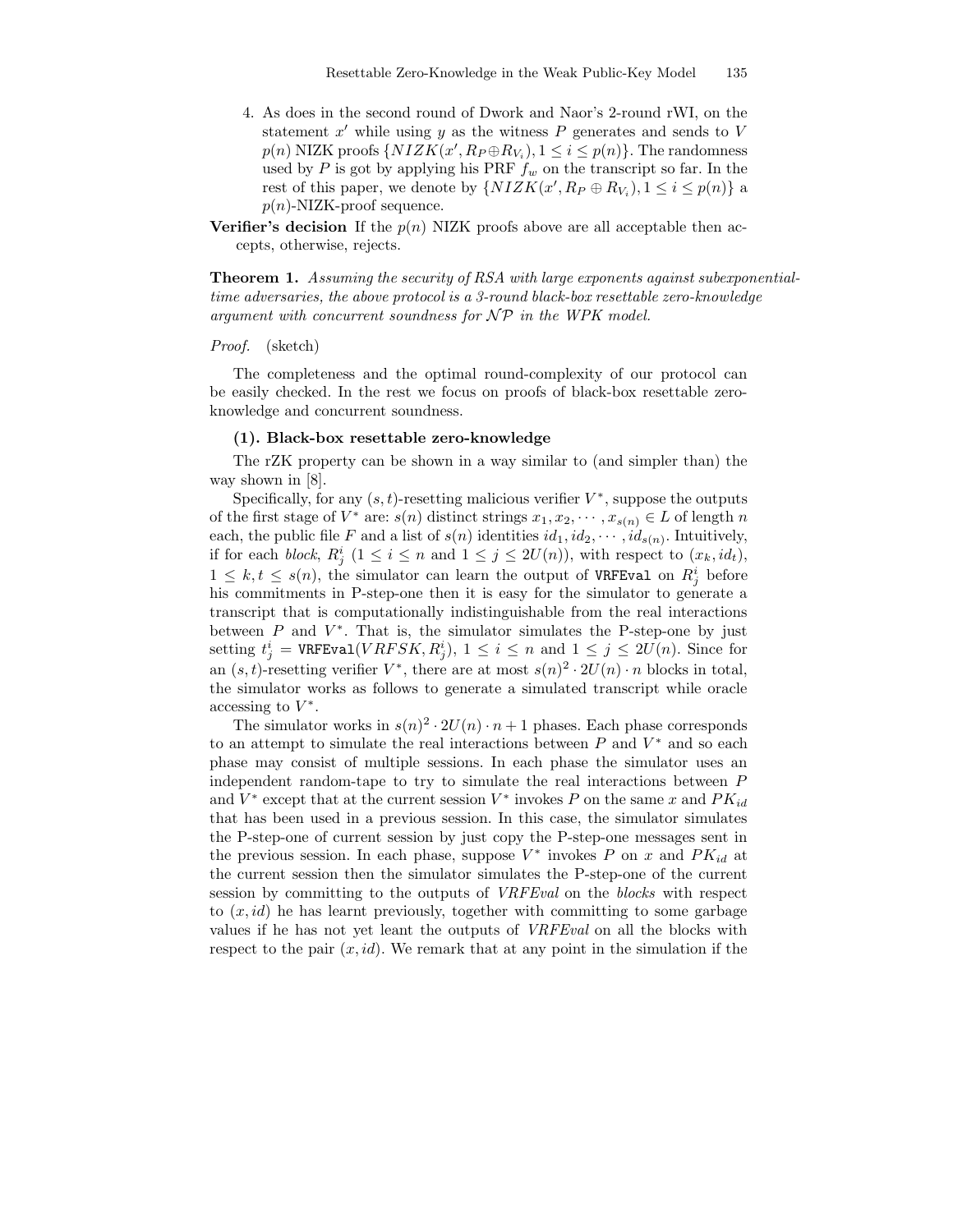- 4. As does in the second round of Dwork and Naor's 2-round rWI, on the statement  $x'$  while using  $y$  as the witness  $P$  generates and sends to  $V$  $p(n)$  NIZK proofs  $\{NIZK(x', R_P \oplus R_{V_i}), 1 \le i \le p(n)\}$ . The randomness used by P is got by applying his PRF  $f_w$  on the transcript so far. In the rest of this paper, we denote by  $\{NIZK(x', R_P \oplus R_{V_i}), 1 \le i \le p(n)\}$  a  $p(n)$ -NIZK-proof sequence.
- **Verifier's decision** If the  $p(n)$  NIZK proofs above are all acceptable then accepts, otherwise, rejects.

**Theorem 1.** Assuming the security of RSA with large exponents against subexponentialtime adversaries, the above protocol is a 3-round black-box resettable zero-knowledge argument with concurrent soundness for  $\mathcal{NP}$  in the WPK model.

#### Proof. (sketch)

The completeness and the optimal round-complexity of our protocol can be easily checked. In the rest we focus on proofs of black-box resettable zeroknowledge and concurrent soundness.

#### (1). Black-box resettable zero-knowledge

The rZK property can be shown in a way similar to (and simpler than) the way shown in [8].

Specifically, for any  $(s, t)$ -resetting malicious verifier  $V^*$ , suppose the outputs of the first stage of  $V^*$  are:  $s(n)$  distinct strings  $x_1, x_2, \dots, x_{s(n)} \in L$  of length n each, the public file F and a list of  $s(n)$  identities  $id_1, id_2, \cdots, id_{s(n)}$ . Intuitively, if for each block,  $R_j^i$   $(1 \leq i \leq n$  and  $1 \leq j \leq 2U(n)$ , with respect to  $(x_k, id_t)$ ,  $1 \leq k, t \leq s(n)$ , the simulator can learn the output of VRFEval on  $R_j^i$  before his commitments in P-step-one then it is easy for the simulator to generate a transcript that is computationally indistinguishable from the real interactions between  $P$  and  $V^*$ . That is, the simulator simulates the P-step-one by just setting  $t_j^i = \text{VRFEval}(VRFSK, R_j^i), 1 \leq i \leq n$  and  $1 \leq j \leq 2U(n)$ . Since for an  $(s, t)$ -resetting verifier  $V^*$ , there are at most  $s(n)^2 \cdot 2U(n) \cdot n$  blocks in total, the simulator works as follows to generate a simulated transcript while oracle accessing to  $V^*$ .

The simulator works in  $s(n)^2 \cdot 2U(n) \cdot n + 1$  phases. Each phase corresponds to an attempt to simulate the real interactions between  $P$  and  $V^*$  and so each phase may consist of multiple sessions. In each phase the simulator uses an independent random-tape to try to simulate the real interactions between P and  $V^*$  except that at the current session  $V^*$  invokes P on the same x and  $PK_{id}$ that has been used in a previous session. In this case, the simulator simulates the P-step-one of current session by just copy the P-step-one messages sent in the previous session. In each phase, suppose  $V^*$  invokes P on x and  $PK_{id}$  at the current session then the simulator simulates the P-step-one of the current session by committing to the outputs of VRFEval on the blocks with respect to  $(x, id)$  he has learnt previously, together with committing to some garbage values if he has not yet leant the outputs of VRFEval on all the blocks with respect to the pair  $(x, id)$ . We remark that at any point in the simulation if the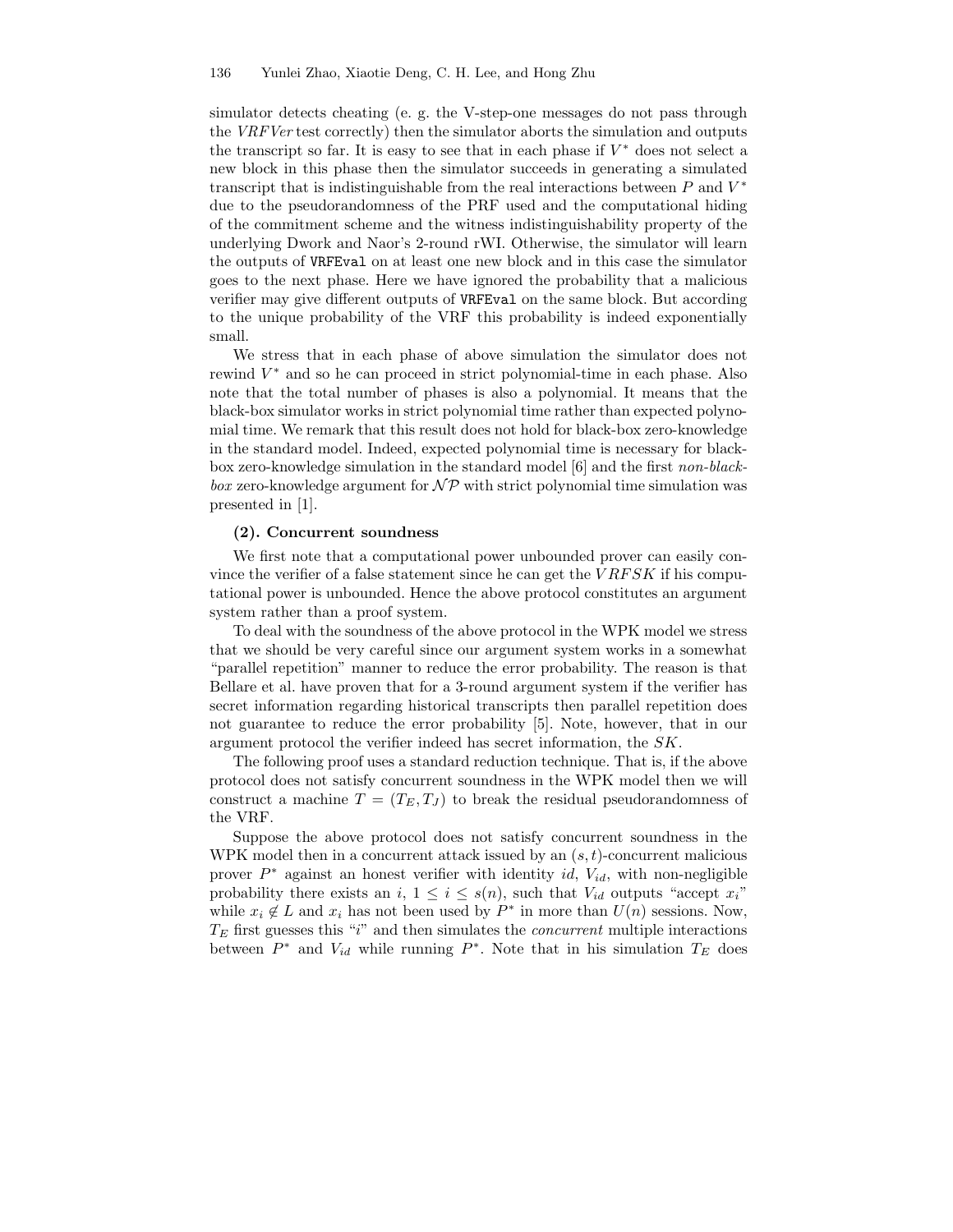simulator detects cheating (e. g. the V-step-one messages do not pass through the VRFVer test correctly) then the simulator aborts the simulation and outputs the transcript so far. It is easy to see that in each phase if  $V^*$  does not select a new block in this phase then the simulator succeeds in generating a simulated transcript that is indistinguishable from the real interactions between  $P$  and  $V^*$ due to the pseudorandomness of the PRF used and the computational hiding of the commitment scheme and the witness indistinguishability property of the underlying Dwork and Naor's 2-round rWI. Otherwise, the simulator will learn the outputs of VRFEval on at least one new block and in this case the simulator goes to the next phase. Here we have ignored the probability that a malicious verifier may give different outputs of VRFEval on the same block. But according to the unique probability of the VRF this probability is indeed exponentially small.

We stress that in each phase of above simulation the simulator does not rewind  $V^*$  and so he can proceed in strict polynomial-time in each phase. Also note that the total number of phases is also a polynomial. It means that the black-box simulator works in strict polynomial time rather than expected polynomial time. We remark that this result does not hold for black-box zero-knowledge in the standard model. Indeed, expected polynomial time is necessary for blackbox zero-knowledge simulation in the standard model [6] and the first non-blackbox zero-knowledge argument for  $\mathcal{NP}$  with strict polynomial time simulation was presented in [1].

#### (2). Concurrent soundness

We first note that a computational power unbounded prover can easily convince the verifier of a false statement since he can get the  $VRFSK$  if his computational power is unbounded. Hence the above protocol constitutes an argument system rather than a proof system.

To deal with the soundness of the above protocol in the WPK model we stress that we should be very careful since our argument system works in a somewhat "parallel repetition" manner to reduce the error probability. The reason is that Bellare et al. have proven that for a 3-round argument system if the verifier has secret information regarding historical transcripts then parallel repetition does not guarantee to reduce the error probability [5]. Note, however, that in our argument protocol the verifier indeed has secret information, the SK.

The following proof uses a standard reduction technique. That is, if the above protocol does not satisfy concurrent soundness in the WPK model then we will construct a machine  $T = (T_E, T_J)$  to break the residual pseudorandomness of the VRF.

Suppose the above protocol does not satisfy concurrent soundness in the WPK model then in a concurrent attack issued by an  $(s, t)$ -concurrent malicious prover  $P^*$  against an honest verifier with identity id,  $V_{id}$ , with non-negligible probability there exists an  $i, 1 \leq i \leq s(n)$ , such that  $V_{id}$  outputs "accept  $x_i$ " while  $x_i \notin L$  and  $x_i$  has not been used by  $P^*$  in more than  $U(n)$  sessions. Now,  $T_E$  first guesses this "i" and then simulates the *concurrent* multiple interactions between  $P^*$  and  $V_{id}$  while running  $P^*$ . Note that in his simulation  $T_E$  does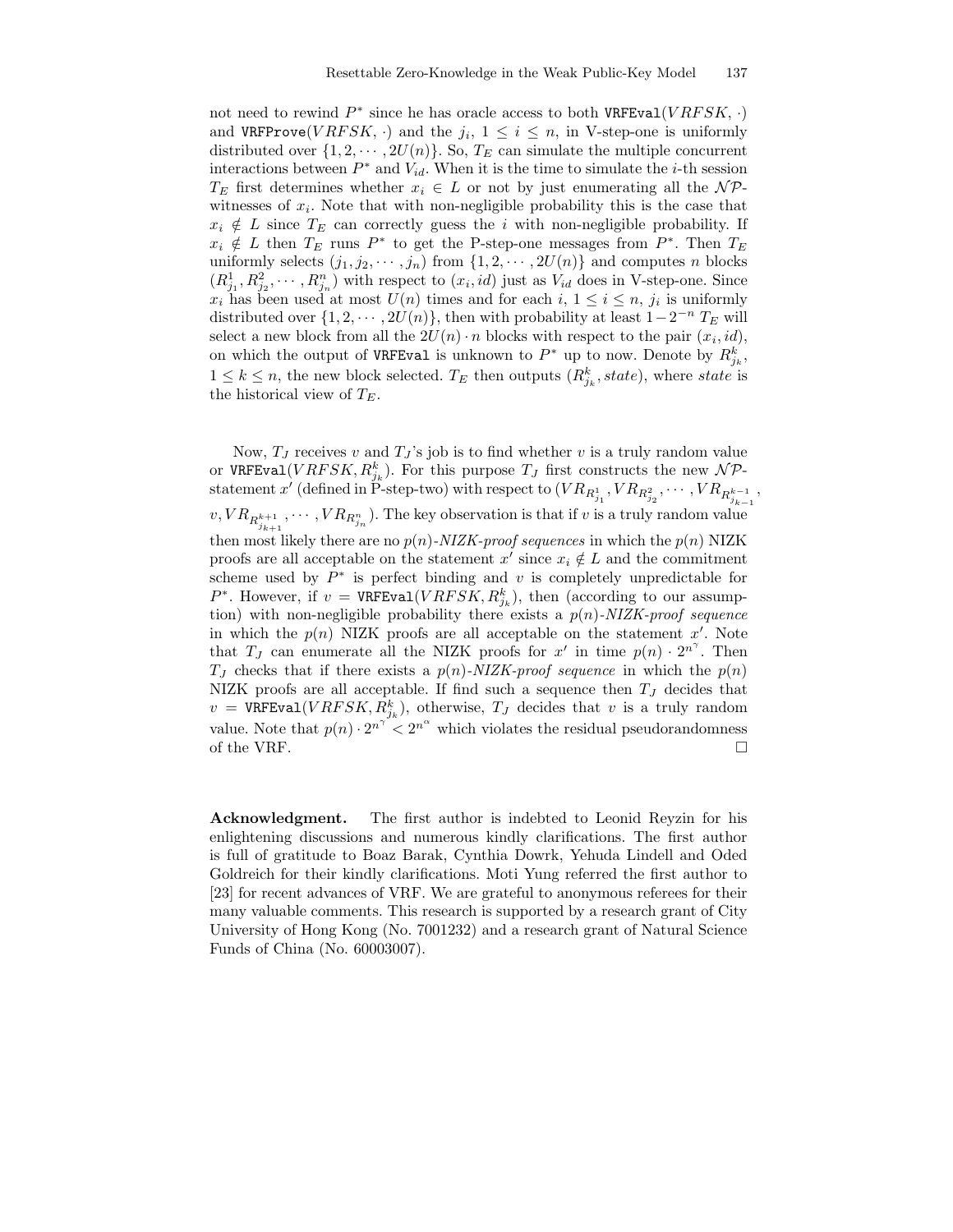not need to rewind  $P^*$  since he has oracle access to both VRFEval $(VRFSK, \cdot)$ and VRFProve( $VRFSK$ ,  $\cdot$ ) and the  $j_i$ ,  $1 \leq i \leq n$ , in V-step-one is uniformly distributed over  $\{1, 2, \dots, 2U(n)\}\)$ . So,  $T_E$  can simulate the multiple concurrent interactions between  $P^*$  and  $V_{id}$ . When it is the time to simulate the *i*-th session  $T_E$  first determines whether  $x_i \in L$  or not by just enumerating all the  $\mathcal{NP}$ witnesses of  $x_i$ . Note that with non-negligible probability this is the case that  $x_i \notin L$  since  $T_E$  can correctly guess the i with non-negligible probability. If  $x_i \notin L$  then  $T_E$  runs  $P^*$  to get the P-step-one messages from  $P^*$ . Then  $T_E$ uniformly selects  $(j_1, j_2, \dots, j_n)$  from  $\{1, 2, \dots, 2U(n)\}\)$  and computes n blocks  $(R_{j_1}^1, R_{j_2}^2, \cdots, R_{j_n}^n)$  with respect to  $(x_i, id)$  just as  $V_{id}$  does in V-step-one. Since  $x_i$  has been used at most  $U(n)$  times and for each  $i, 1 \leq i \leq n$ ,  $j_i$  is uniformly distributed over  $\{1, 2, \dots, 2U(n)\}\$ , then with probability at least  $1 - 2^{-n} T_E$  will select a new block from all the  $2U(n) \cdot n$  blocks with respect to the pair  $(x_i, id)$ , on which the output of VRFEval is unknown to  $P^*$  up to now. Denote by  $R_{j_k}^k$ ,  $1 \leq k \leq n$ , the new block selected.  $T_E$  then outputs  $(R_{jk}^k, state)$ , where *state* is the historical view of  $T_E$ .

Now,  $T_J$  receives v and  $T_J$ 's job is to find whether v is a truly random value or VRFEval $(VRFSK, R_{j_k}^k)$ . For this purpose  $T_J$  first constructs the new  $\mathcal{NP}$ statement  $x'$  (defined in P-step-two) with respect to  $(V R_{R_{j_1}^1}, V R_{R_{j_2}^2}, \cdots, V R_{R_{j_{k-1}}^{k-1}},$  $v, VR_{R^{k+1}_{j_{k+1}}}, \cdots, VR_{R^n_{j_n}}$ ). The key observation is that if v is a truly random value then most likely there are no  $p(n)$ -NIZK-proof sequences in which the  $p(n)$  NIZK proofs are all acceptable on the statement  $x'$  since  $x_i \notin L$  and the commitment scheme used by  $P^*$  is perfect binding and v is completely unpredictable for  $P^*$ . However, if  $v = \text{VRFEval}(VRFSK, R_{j_k}^k)$ , then (according to our assumption) with non-negligible probability there exists a  $p(n)$ -NIZK-proof sequence in which the  $p(n)$  NIZK proofs are all acceptable on the statement  $x'$ . Note that  $T_J$  can enumerate all the NIZK proofs for x' in time  $p(n) \cdot 2^{n^{\gamma}}$ . Then  $T_J$  checks that if there exists a  $p(n)$ -NIZK-proof sequence in which the  $p(n)$ NIZK proofs are all acceptable. If find such a sequence then  $T_J$  decides that  $v = \texttt{VRFEval}(VRFSK, R_{j_k}^k)$ , otherwise,  $T_J$  decides that v is a truly random value. Note that  $p(n) \cdot 2^{n^{\gamma}} \leq 2^{n^{\alpha}}$  which violates the residual pseudorandomness of the VRF.  $\Box$ 

Acknowledgment. The first author is indebted to Leonid Reyzin for his enlightening discussions and numerous kindly clarifications. The first author is full of gratitude to Boaz Barak, Cynthia Dowrk, Yehuda Lindell and Oded Goldreich for their kindly clarifications. Moti Yung referred the first author to [23] for recent advances of VRF. We are grateful to anonymous referees for their many valuable comments. This research is supported by a research grant of City University of Hong Kong (No. 7001232) and a research grant of Natural Science Funds of China (No. 60003007).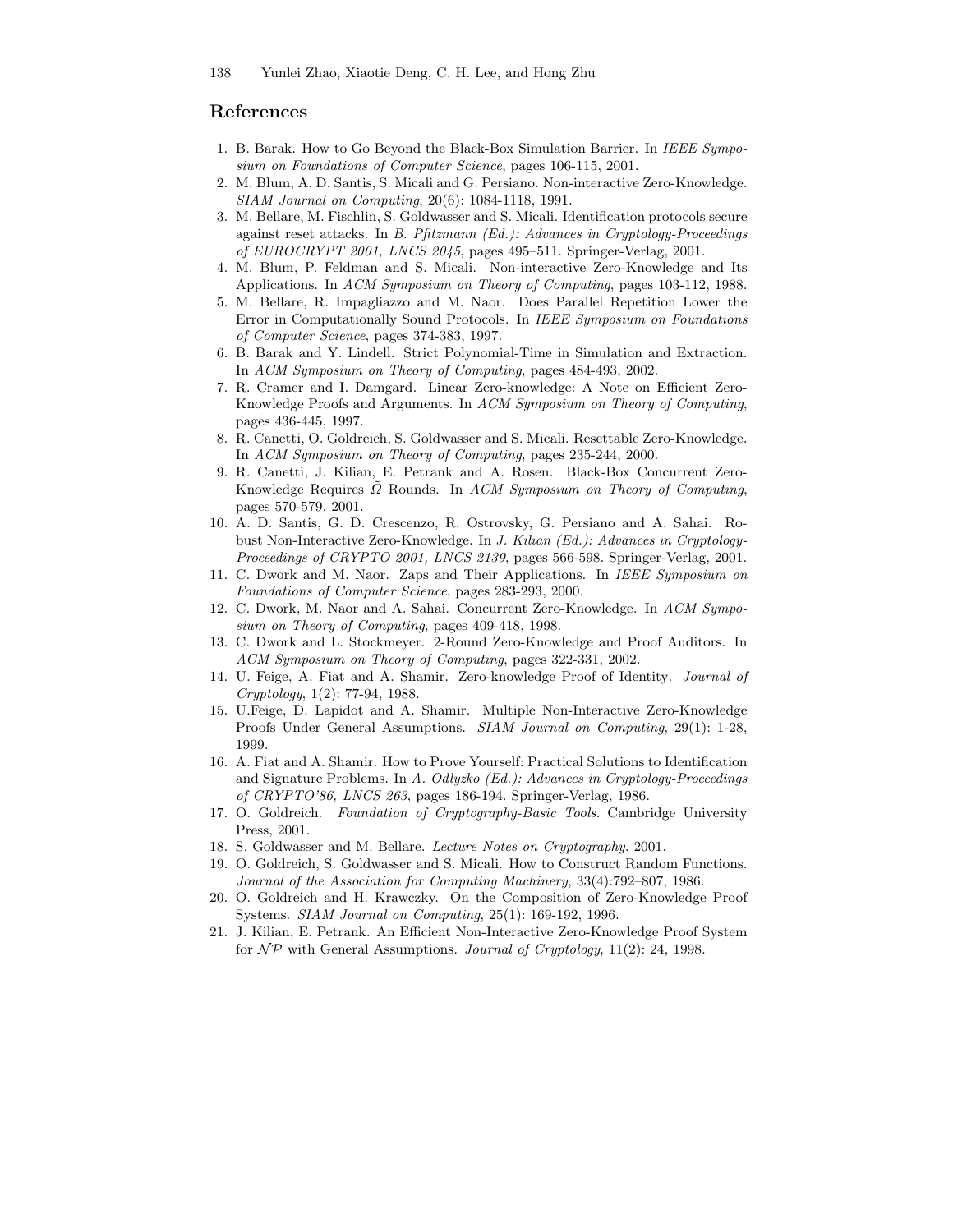### References

- 1. B. Barak. How to Go Beyond the Black-Box Simulation Barrier. In IEEE Symposium on Foundations of Computer Science, pages 106-115, 2001.
- 2. M. Blum, A. D. Santis, S. Micali and G. Persiano. Non-interactive Zero-Knowledge. SIAM Journal on Computing, 20(6): 1084-1118, 1991.
- 3. M. Bellare, M. Fischlin, S. Goldwasser and S. Micali. Identification protocols secure against reset attacks. In B. Pfitzmann (Ed.): Advances in Cryptology-Proceedings of EUROCRYPT 2001, LNCS 2045, pages 495–511. Springer-Verlag, 2001.
- 4. M. Blum, P. Feldman and S. Micali. Non-interactive Zero-Knowledge and Its Applications. In ACM Symposium on Theory of Computing, pages 103-112, 1988.
- 5. M. Bellare, R. Impagliazzo and M. Naor. Does Parallel Repetition Lower the Error in Computationally Sound Protocols. In IEEE Symposium on Foundations of Computer Science, pages 374-383, 1997.
- 6. B. Barak and Y. Lindell. Strict Polynomial-Time in Simulation and Extraction. In ACM Symposium on Theory of Computing, pages 484-493, 2002.
- 7. R. Cramer and I. Damgard. Linear Zero-knowledge: A Note on Efficient Zero-Knowledge Proofs and Arguments. In ACM Symposium on Theory of Computing, pages 436-445, 1997.
- 8. R. Canetti, O. Goldreich, S. Goldwasser and S. Micali. Resettable Zero-Knowledge. In ACM Symposium on Theory of Computing, pages 235-244, 2000.
- 9. R. Canetti, J. Kilian, E. Petrank and A. Rosen. Black-Box Concurrent Zero-Knowledge Requires  $\overline{\Omega}$  Rounds. In ACM Symposium on Theory of Computing, pages 570-579, 2001.
- 10. A. D. Santis, G. D. Crescenzo, R. Ostrovsky, G. Persiano and A. Sahai. Robust Non-Interactive Zero-Knowledge. In J. Kilian (Ed.): Advances in Cryptology-Proceedings of CRYPTO 2001, LNCS 2139, pages 566-598. Springer-Verlag, 2001.
- 11. C. Dwork and M. Naor. Zaps and Their Applications. In IEEE Symposium on Foundations of Computer Science, pages 283-293, 2000.
- 12. C. Dwork, M. Naor and A. Sahai. Concurrent Zero-Knowledge. In ACM Symposium on Theory of Computing, pages 409-418, 1998.
- 13. C. Dwork and L. Stockmeyer. 2-Round Zero-Knowledge and Proof Auditors. In ACM Symposium on Theory of Computing, pages 322-331, 2002.
- 14. U. Feige, A. Fiat and A. Shamir. Zero-knowledge Proof of Identity. Journal of Cryptology, 1(2): 77-94, 1988.
- 15. U.Feige, D. Lapidot and A. Shamir. Multiple Non-Interactive Zero-Knowledge Proofs Under General Assumptions. SIAM Journal on Computing, 29(1): 1-28, 1999.
- 16. A. Fiat and A. Shamir. How to Prove Yourself: Practical Solutions to Identification and Signature Problems. In A. Odlyzko (Ed.): Advances in Cryptology-Proceedings of CRYPTO'86, LNCS 263, pages 186-194. Springer-Verlag, 1986.
- 17. O. Goldreich. Foundation of Cryptography-Basic Tools. Cambridge University Press, 2001.
- 18. S. Goldwasser and M. Bellare. Lecture Notes on Cryptography. 2001.
- 19. O. Goldreich, S. Goldwasser and S. Micali. How to Construct Random Functions. Journal of the Association for Computing Machinery, 33(4):792–807, 1986.
- 20. O. Goldreich and H. Krawczky. On the Composition of Zero-Knowledge Proof Systems. SIAM Journal on Computing, 25(1): 169-192, 1996.
- 21. J. Kilian, E. Petrank. An Efficient Non-Interactive Zero-Knowledge Proof System for  $\mathcal{NP}$  with General Assumptions. *Journal of Cryptology*, 11(2): 24, 1998.